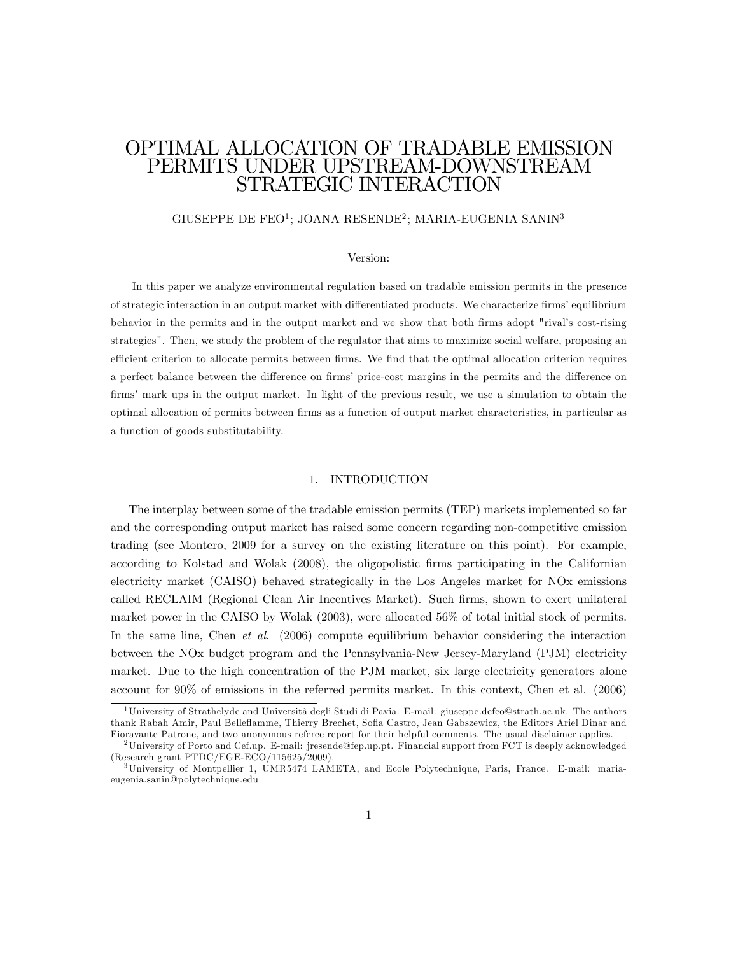# OPTIMAL ALLOCATION OF TRADABLE EMISSION PERMITS UNDER UPSTREAM-DOWNSTREAM STRATEGIC INTERACTION

# GIUSEPPE DE FEO<sup>1</sup>; JOANA RESENDE<sup>2</sup>; MARIA-EUGENIA SANIN<sup>3</sup>

#### Version:

In this paper we analyze environmental regulation based on tradable emission permits in the presence of strategic interaction in an output market with differentiated products. We characterize firms' equilibrium behavior in the permits and in the output market and we show that both firms adopt "rival's cost-rising strategies". Then, we study the problem of the regulator that aims to maximize social welfare, proposing an efficient criterion to allocate permits between firms. We find that the optimal allocation criterion requires a perfect balance between the difference on firms' price-cost margins in the permits and the difference on firms' mark ups in the output market. In light of the previous result, we use a simulation to obtain the optimal allocation of permits between Örms as a function of output market characteristics, in particular as a function of goods substitutability.

### 1. INTRODUCTION

The interplay between some of the tradable emission permits (TEP) markets implemented so far and the corresponding output market has raised some concern regarding non-competitive emission trading (see Montero, 2009 for a survey on the existing literature on this point). For example, according to Kolstad and Wolak (2008), the oligopolistic firms participating in the Californian electricity market (CAISO) behaved strategically in the Los Angeles market for NOx emissions called RECLAIM (Regional Clean Air Incentives Market). Such firms, shown to exert unilateral market power in the CAISO by Wolak (2003), were allocated 56% of total initial stock of permits. In the same line, Chen et al. (2006) compute equilibrium behavior considering the interaction between the NOx budget program and the Pennsylvania-New Jersey-Maryland (PJM) electricity market. Due to the high concentration of the PJM market, six large electricity generators alone account for 90% of emissions in the referred permits market. In this context, Chen et al. (2006)

<sup>&</sup>lt;sup>1</sup>University of Strathclyde and Università degli Studi di Pavia. E-mail: giuseppe.defeo@strath.ac.uk. The authors thank Rabah Amir, Paul Belleflamme, Thierry Brechet, Sofia Castro, Jean Gabszewicz, the Editors Ariel Dinar and Fioravante Patrone, and two anonymous referee report for their helpful comments. The usual disclaimer applies.

 $^{2}$ University of Porto and Cef.up. E-mail: jresende@fep.up.pt. Financial support from FCT is deeply acknowledged (Research grant PTDC/EGE-ECO/115625/2009).

<sup>3</sup>University of Montpellier 1, UMR5474 LAMETA, and Ecole Polytechnique, Paris, France. E-mail: mariaeugenia.sanin@polytechnique.edu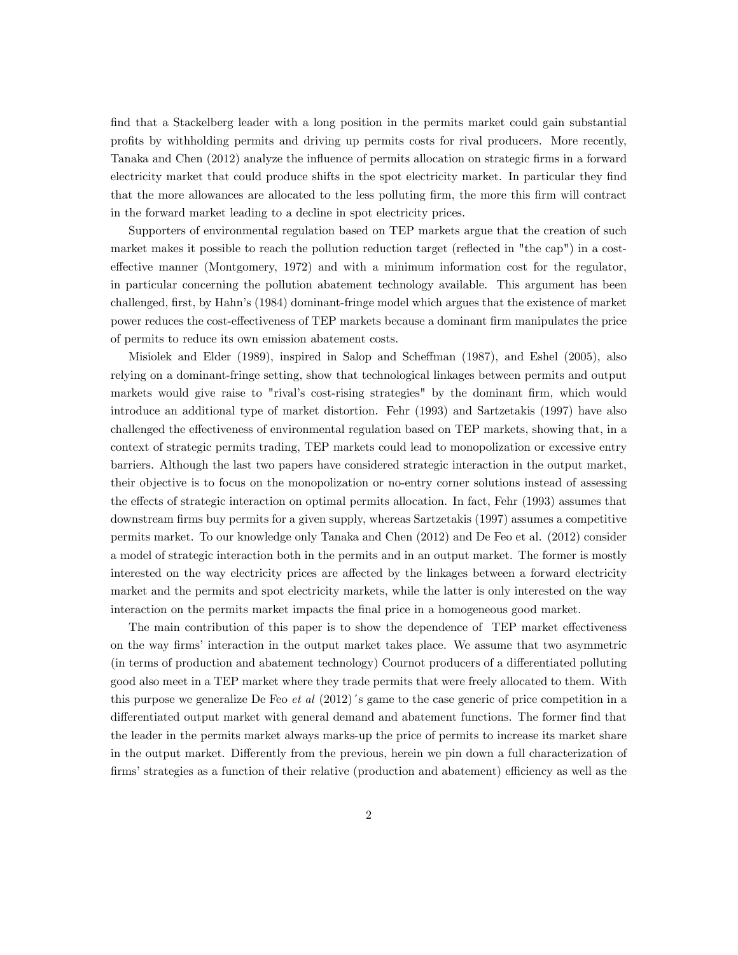find that a Stackelberg leader with a long position in the permits market could gain substantial profits by withholding permits and driving up permits costs for rival producers. More recently, Tanaka and Chen (2012) analyze the influence of permits allocation on strategic firms in a forward electricity market that could produce shifts in the spot electricity market. In particular they find that the more allowances are allocated to the less polluting firm, the more this firm will contract in the forward market leading to a decline in spot electricity prices.

Supporters of environmental regulation based on TEP markets argue that the creation of such market makes it possible to reach the pollution reduction target (reflected in "the cap") in a costeffective manner (Montgomery, 1972) and with a minimum information cost for the regulator, in particular concerning the pollution abatement technology available. This argument has been challenged, Örst, by Hahnís (1984) dominant-fringe model which argues that the existence of market power reduces the cost-effectiveness of TEP markets because a dominant firm manipulates the price of permits to reduce its own emission abatement costs.

Misiolek and Elder (1989), inspired in Salop and Scheffman (1987), and Eshel (2005), also relying on a dominant-fringe setting, show that technological linkages between permits and output markets would give raise to "rival's cost-rising strategies" by the dominant firm, which would introduce an additional type of market distortion. Fehr (1993) and Sartzetakis (1997) have also challenged the effectiveness of environmental regulation based on TEP markets, showing that, in a context of strategic permits trading, TEP markets could lead to monopolization or excessive entry barriers. Although the last two papers have considered strategic interaction in the output market, their objective is to focus on the monopolization or no-entry corner solutions instead of assessing the effects of strategic interaction on optimal permits allocation. In fact, Fehr (1993) assumes that downstream firms buy permits for a given supply, whereas Sartzetakis (1997) assumes a competitive permits market. To our knowledge only Tanaka and Chen (2012) and De Feo et al. (2012) consider a model of strategic interaction both in the permits and in an output market. The former is mostly interested on the way electricity prices are affected by the linkages between a forward electricity market and the permits and spot electricity markets, while the latter is only interested on the way interaction on the permits market impacts the final price in a homogeneous good market.

The main contribution of this paper is to show the dependence of TEP market effectiveness on the way firms' interaction in the output market takes place. We assume that two asymmetric (in terms of production and abatement technology) Cournot producers of a differentiated polluting good also meet in a TEP market where they trade permits that were freely allocated to them. With this purpose we generalize De Feo *et al*  $(2012)'$  s game to the case generic of price competition in a differentiated output market with general demand and abatement functions. The former find that the leader in the permits market always marks-up the price of permits to increase its market share in the output market. Differently from the previous, herein we pin down a full characterization of firms' strategies as a function of their relative (production and abatement) efficiency as well as the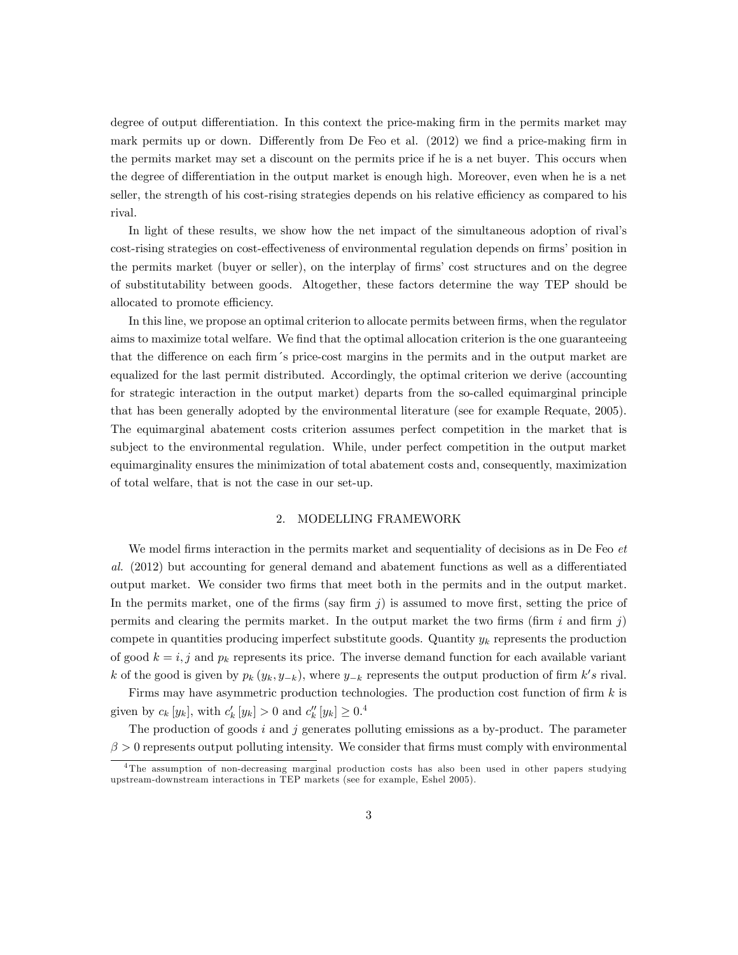degree of output differentiation. In this context the price-making firm in the permits market may mark permits up or down. Differently from De Feo et al.  $(2012)$  we find a price-making firm in the permits market may set a discount on the permits price if he is a net buyer. This occurs when the degree of differentiation in the output market is enough high. Moreover, even when he is a net seller, the strength of his cost-rising strategies depends on his relative efficiency as compared to his rival.

In light of these results, we show how the net impact of the simultaneous adoption of rival's cost-rising strategies on cost-effectiveness of environmental regulation depends on firms' position in the permits market (buyer or seller), on the interplay of firms' cost structures and on the degree of substitutability between goods. Altogether, these factors determine the way TEP should be allocated to promote efficiency.

In this line, we propose an optimal criterion to allocate permits between firms, when the regulator aims to maximize total welfare. We find that the optimal allocation criterion is the one guaranteeing that the difference on each firm 's price-cost margins in the permits and in the output market are equalized for the last permit distributed. Accordingly, the optimal criterion we derive (accounting for strategic interaction in the output market) departs from the so-called equimarginal principle that has been generally adopted by the environmental literature (see for example Requate, 2005). The equimarginal abatement costs criterion assumes perfect competition in the market that is subject to the environmental regulation. While, under perfect competition in the output market equimarginality ensures the minimization of total abatement costs and, consequently, maximization of total welfare, that is not the case in our set-up.

#### 2. MODELLING FRAMEWORK

We model firms interaction in the permits market and sequentiality of decisions as in De Feo  $et$ al.  $(2012)$  but accounting for general demand and abatement functions as well as a differentiated output market. We consider two Örms that meet both in the permits and in the output market. In the permits market, one of the firms (say firm  $j$ ) is assumed to move first, setting the price of permits and clearing the permits market. In the output market the two firms (firm i and firm j) compete in quantities producing imperfect substitute goods. Quantity  $y_k$  represents the production of good  $k = i, j$  and  $p_k$  represents its price. The inverse demand function for each available variant k of the good is given by  $p_k(y_k, y_{-k})$ , where  $y_{-k}$  represents the output production of firm  $k's$  rival.

Firms may have asymmetric production technologies. The production cost function of firm  $k$  is given by  $c_k[y_k]$ , with  $c'_k[y_k] > 0$  and  $c''_k[y_k] \geq 0.4$ 

The production of goods  $i$  and  $j$  generates polluting emissions as a by-product. The parameter  $\beta > 0$  represents output polluting intensity. We consider that firms must comply with environmental

<sup>4</sup> The assumption of non-decreasing marginal production costs has also been used in other papers studying upstream-downstream interactions in TEP markets (see for example, Eshel 2005).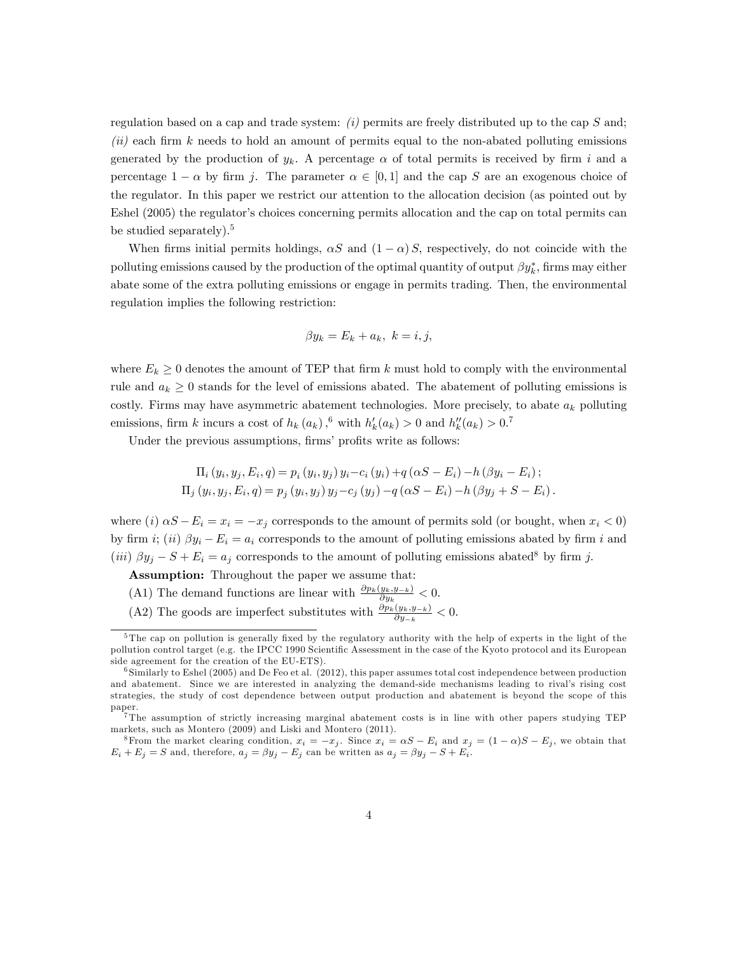regulation based on a cap and trade system:  $(i)$  permits are freely distributed up to the cap S and;  $(ii)$  each firm k needs to hold an amount of permits equal to the non-abated polluting emissions generated by the production of  $y_k$ . A percentage  $\alpha$  of total permits is received by firm i and a percentage  $1 - \alpha$  by firm j. The parameter  $\alpha \in [0, 1]$  and the cap S are an exogenous choice of the regulator. In this paper we restrict our attention to the allocation decision (as pointed out by Eshel (2005) the regulator's choices concerning permits allocation and the cap on total permits can be studied separately).<sup>5</sup>

When firms initial permits holdings,  $\alpha S$  and  $(1 - \alpha) S$ , respectively, do not coincide with the polluting emissions caused by the production of the optimal quantity of output  $\beta y_k^*$ , firms may either abate some of the extra polluting emissions or engage in permits trading. Then, the environmental regulation implies the following restriction:

$$
\beta y_k = E_k + a_k, \ k = i, j,
$$

where  $E_k \geq 0$  denotes the amount of TEP that firm k must hold to comply with the environmental rule and  $a_k \geq 0$  stands for the level of emissions abated. The abatement of polluting emissions is costly. Firms may have asymmetric abatement technologies. More precisely, to abate  $a_k$  polluting emissions, firm k incurs a cost of  $h_k(a_k)$ , <sup>6</sup> with  $h'_k(a_k) > 0$  and  $h''_k(a_k) > 0$ .<sup>7</sup>

Under the previous assumptions, firms' profits write as follows:

$$
\Pi_i (y_i, y_j, E_i, q) = p_i (y_i, y_j) y_i - c_i (y_i) + q (\alpha S - E_i) - h (\beta y_i - E_i);
$$
  
\n
$$
\Pi_j (y_i, y_j, E_i, q) = p_j (y_i, y_j) y_j - c_j (y_j) - q (\alpha S - E_i) - h (\beta y_j + S - E_i).
$$

where (i)  $\alpha S - E_i = x_i = -x_j$  corresponds to the amount of permits sold (or bought, when  $x_i < 0$ ) by firm i; (ii)  $\beta y_i - E_i = a_i$  corresponds to the amount of polluting emissions abated by firm i and (iii)  $\beta y_j - S + E_i = a_j$  corresponds to the amount of polluting emissions abated<sup>8</sup> by firm j.

Assumption: Throughout the paper we assume that:

- (A1) The demand functions are linear with  $\frac{\partial p_k(y_k, y_{-k})}{\partial y_k} < 0$ .
- (A2) The goods are imperfect substitutes with  $\frac{\partial p_k(y_k, y_{-k})}{\partial y_{-k}} < 0$ .

 $5$ The cap on pollution is generally fixed by the regulatory authority with the help of experts in the light of the pollution control target (e.g. the IPCC 1990 Scientific Assessment in the case of the Kyoto protocol and its European side agreement for the creation of the EU-ETS).

 $6$  Similarly to Eshel (2005) and De Feo et al. (2012), this paper assumes total cost independence between production and abatement. Since we are interested in analyzing the demand-side mechanisms leading to rivalís rising cost strategies, the study of cost dependence between output production and abatement is beyond the scope of this paper.

<sup>7</sup> The assumption of strictly increasing marginal abatement costs is in line with other papers studying TEP markets, such as Montero (2009) and Liski and Montero (2011).

<sup>&</sup>lt;sup>8</sup>From the market clearing condition,  $x_i = -x_j$ . Since  $x_i = \alpha S - E_i$  and  $x_j = (1 - \alpha)S - E_j$ , we obtain that  $E_i + E_j = S$  and, therefore,  $a_j = \beta y_j - E_j$  can be written as  $a_j = \beta y_j - S + E_i$ .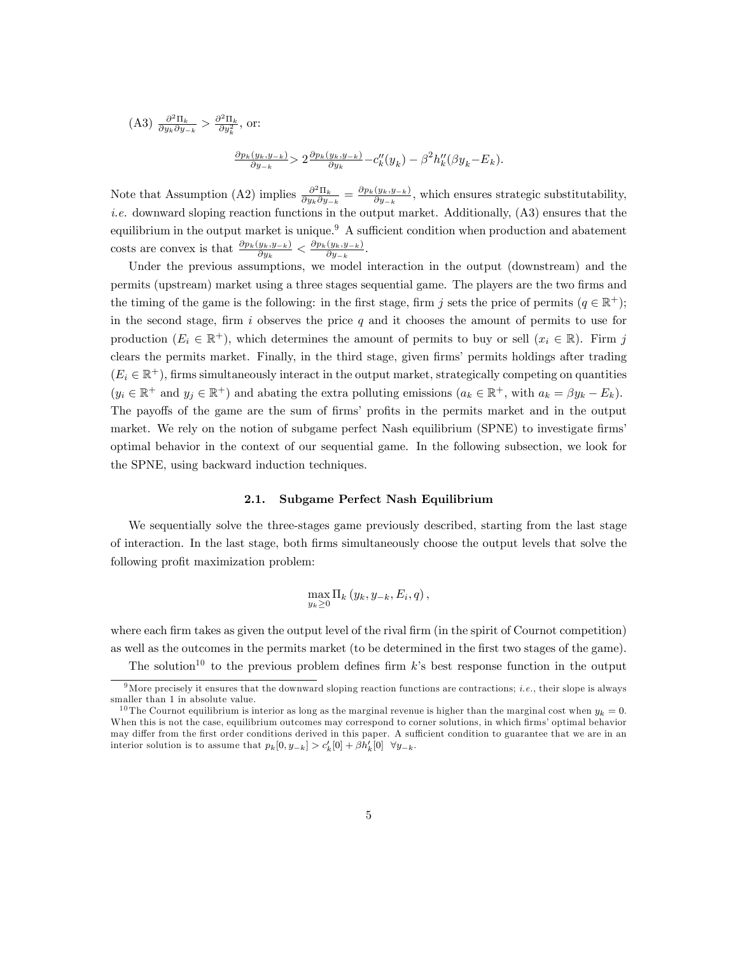(A3) 
$$
\frac{\partial^2 \Pi_k}{\partial y_k \partial y_{-k}} > \frac{\partial^2 \Pi_k}{\partial y_k^2}
$$
, or:  

$$
\frac{\partial p_k(y_k, y_{-k})}{\partial y_{-k}} > 2 \frac{\partial p_k(y_k, y_{-k})}{\partial y_k} - c''_k(y_k) - \beta^2 h''_k(\beta y_k - E_k).
$$

Note that Assumption (A2) implies  $\frac{\partial^2 \Pi_k}{\partial w \partial w}$  $\frac{\partial^2 \Pi_k}{\partial y_k \partial y_{-k}} = \frac{\partial p_k(y_k, y_{-k})}{\partial y_{-k}}$  $\frac{(y_k, y_{-k})}{\partial y_{-k}}$ , which ensures strategic substitutability, i.e. downward sloping reaction functions in the output market. Additionally,  $(A3)$  ensures that the equilibrium in the output market is unique.<sup>9</sup> A sufficient condition when production and abatement costs are convex is that  $\frac{\partial p_k(y_k, y_{-k})}{\partial y_k} < \frac{\partial p_k(y_k, y_{-k})}{\partial y_{-k}}$  $\frac{(y_k, y_{-k})}{\partial y_{-k}}$ .

Under the previous assumptions, we model interaction in the output (downstream) and the permits (upstream) market using a three stages sequential game. The players are the two firms and the timing of the game is the following: in the first stage, firm j sets the price of permits  $(q \in \mathbb{R}^+)$ ; in the second stage, firm i observes the price  $q$  and it chooses the amount of permits to use for production  $(E_i \in \mathbb{R}^+)$ , which determines the amount of permits to buy or sell  $(x_i \in \mathbb{R})$ . Firm j clears the permits market. Finally, in the third stage, given firms' permits holdings after trading  $(E_i \in \mathbb{R}^+)$ , firms simultaneously interact in the output market, strategically competing on quantities  $(y_i \in \mathbb{R}^+ \text{ and } y_j \in \mathbb{R}^+)$  and abating the extra polluting emissions  $(a_k \in \mathbb{R}^+, \text{ with } a_k = \beta y_k - E_k)$ . The payoffs of the game are the sum of firms' profits in the permits market and in the output market. We rely on the notion of subgame perfect Nash equilibrium (SPNE) to investigate firms optimal behavior in the context of our sequential game. In the following subsection, we look for the SPNE, using backward induction techniques.

#### 2.1. Subgame Perfect Nash Equilibrium

We sequentially solve the three-stages game previously described, starting from the last stage of interaction. In the last stage, both Örms simultaneously choose the output levels that solve the following profit maximization problem:

$$
\max_{y_k \geq 0} \Pi_k(y_k, y_{-k}, E_i, q),
$$

where each firm takes as given the output level of the rival firm (in the spirit of Cournot competition) as well as the outcomes in the permits market (to be determined in the first two stages of the game). The solution<sup>10</sup> to the previous problem defines firm  $k$ 's best response function in the output

<sup>&</sup>lt;sup>9</sup>More precisely it ensures that the downward sloping reaction functions are contractions; *i.e.*, their slope is always smaller than 1 in absolute value.

<sup>&</sup>lt;sup>10</sup> The Cournot equilibrium is interior as long as the marginal revenue is higher than the marginal cost when  $y_k = 0$ . When this is not the case, equilibrium outcomes may correspond to corner solutions, in which firms' optimal behavior may differ from the first order conditions derived in this paper. A sufficient condition to guarantee that we are in an interior solution is to assume that  $p_k[0, y_{-k}] > c'_k[0] + \beta h'_k[0] \quad \forall y_{-k}$ .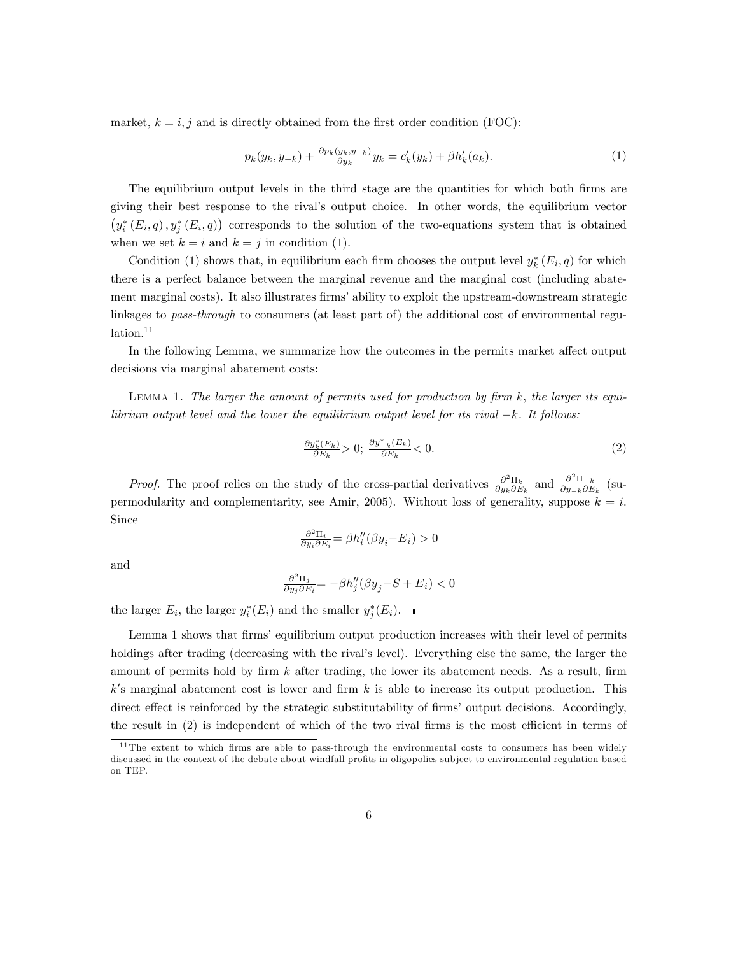market,  $k = i, j$  and is directly obtained from the first order condition (FOC):

$$
p_k(y_k, y_{-k}) + \frac{\partial p_k(y_k, y_{-k})}{\partial y_k} y_k = c'_k(y_k) + \beta h'_k(a_k).
$$
 (1)

The equilibrium output levels in the third stage are the quantities for which both firms are giving their best response to the rivalís output choice. In other words, the equilibrium vector  $(y_i^*(E_i, q), y_j^*(E_i, q))$  corresponds to the solution of the two-equations system that is obtained when we set  $k = i$  and  $k = j$  in condition (1).

Condition (1) shows that, in equilibrium each firm chooses the output level  $y_k^*(E_i, q)$  for which there is a perfect balance between the marginal revenue and the marginal cost (including abatement marginal costs). It also illustrates firms' ability to exploit the upstream-downstream strategic linkages to *pass-through* to consumers (at least part of) the additional cost of environmental regu $lation.<sup>11</sup>$ 

In the following Lemma, we summarize how the outcomes in the permits market affect output decisions via marginal abatement costs:

LEMMA 1. The larger the amount of permits used for production by firm  $k$ , the larger its equilibrium output level and the lower the equilibrium output level for its rival  $-k$ . It follows:

$$
\frac{\partial y_k^*(E_k)}{\partial E_k} > 0; \quad \frac{\partial y_{-k}^*(E_k)}{\partial E_k} < 0. \tag{2}
$$

*Proof.* The proof relies on the study of the cross-partial derivatives  $\frac{\partial^2 \Pi_k}{\partial y_k \partial E_k}$  and  $\frac{\partial^2 \Pi_{-k}}{\partial y_{-k} \partial E}$  $\frac{\partial}{\partial y_{-k}\partial E_k}$  (supermodularity and complementarity, see Amir, 2005). Without loss of generality, suppose  $k = i$ . Since

$$
\tfrac{\partial^2\Pi_i}{\partial y_i\partial E_i}=\beta h_i''(\beta y_i\!-\!E_i)>0
$$

and

$$
\frac{\partial^2 \Pi_j}{\partial y_j \partial E_i} = -\beta h''_j(\beta y_j - S + E_i) < 0
$$

the larger  $E_i$ , the larger  $y_i^*(E_i)$  and the smaller  $y_j^*(E_i)$ .

Lemma 1 shows that firms' equilibrium output production increases with their level of permits holdings after trading (decreasing with the rival's level). Everything else the same, the larger the amount of permits hold by firm  $k$  after trading, the lower its abatement needs. As a result, firm  $k$ 's marginal abatement cost is lower and firm k is able to increase its output production. This direct effect is reinforced by the strategic substitutability of firms' output decisions. Accordingly, the result in  $(2)$  is independent of which of the two rival firms is the most efficient in terms of

 $11$ The extent to which firms are able to pass-through the environmental costs to consumers has been widely discussed in the context of the debate about windfall profits in oligopolies subject to environmental regulation based on TEP.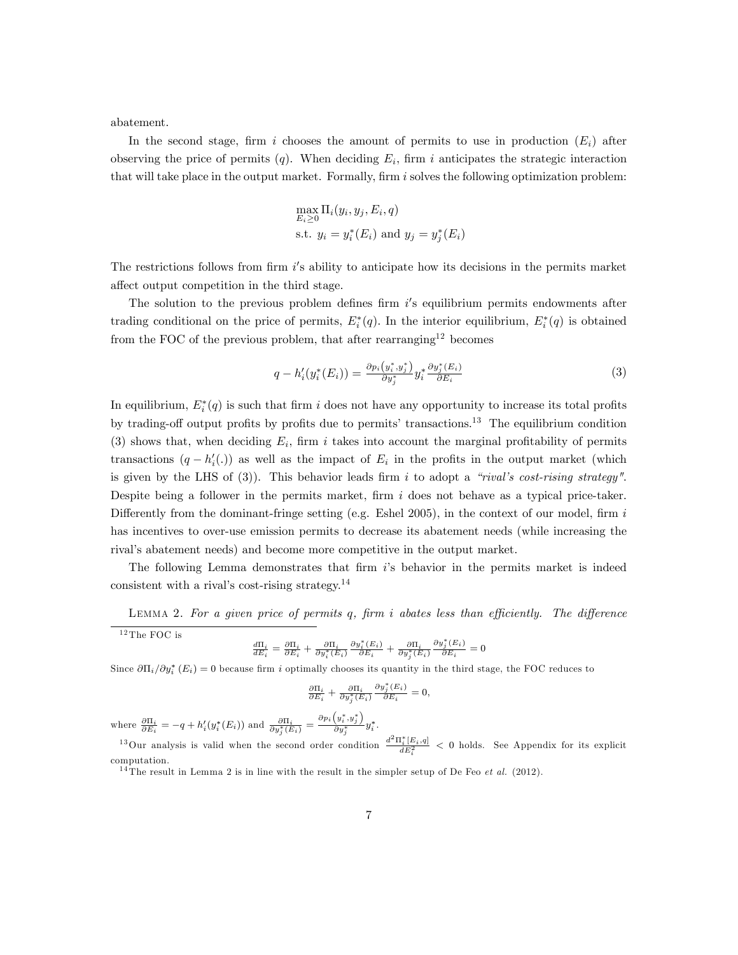abatement.

 $12$  The FOC is

In the second stage, firm i chooses the amount of permits to use in production  $(E_i)$  after observing the price of permits  $(q)$ . When deciding  $E_i$ , firm i anticipates the strategic interaction that will take place in the output market. Formally, firm  $i$  solves the following optimization problem:

$$
\max_{E_i \ge 0} \Pi_i(y_i, y_j, E_i, q)
$$
  
s.t.  $y_i = y_i^*(E_i)$  and  $y_j = y_j^*(E_i)$ 

The restrictions follows from firm  $i$ 's ability to anticipate how its decisions in the permits market affect output competition in the third stage.

The solution to the previous problem defines firm  $i$ 's equilibrium permits endowments after trading conditional on the price of permits,  $E_i^*(q)$ . In the interior equilibrium,  $E_i^*(q)$  is obtained from the FOC of the previous problem, that after rearranging<sup>12</sup> becomes

$$
q - h_i'(y_i^*(E_i)) = \frac{\partial p_i(y_i^*, y_j^*)}{\partial y_j^*} y_i^* \frac{\partial y_j^*(E_i)}{\partial E_i}
$$
\n
$$
\tag{3}
$$

In equilibrium,  $E_i^*(q)$  is such that firm i does not have any opportunity to increase its total profits by trading-off output profits by profits due to permits' transactions.<sup>13</sup> The equilibrium condition (3) shows that, when deciding  $E_i$ , firm i takes into account the marginal profitability of permits transactions  $(q - h'_i(.))$  as well as the impact of  $E_i$  in the profits in the output market (which is given by the LHS of (3)). This behavior leads firm i to adopt a "rival's cost-rising strategy". Despite being a follower in the permits market, firm  $i$  does not behave as a typical price-taker. Differently from the dominant-fringe setting (e.g. Eshel 2005), in the context of our model, firm  $i$ has incentives to over-use emission permits to decrease its abatement needs (while increasing the rival's abatement needs) and become more competitive in the output market.

The following Lemma demonstrates that firm  $i$ 's behavior in the permits market is indeed consistent with a rival's cost-rising strategy. $^{14}$ 

LEMMA 2. For a given price of permits  $q$ , firm i abates less than efficiently. The difference

$$
\frac{d\Pi_i}{dE_i} = \frac{\partial \Pi_i}{\partial E_i} + \frac{\partial \Pi_i}{\partial y_i^*(E_i)} \frac{\partial y_i^*(E_i)}{\partial E_i} + \frac{\partial \Pi_i}{\partial y_j^*(E_i)} \frac{\partial y_j^*(E_i)}{\partial E_i} = 0
$$

Since  $\partial\Pi_i/\partial y_i^*(E_i)=0$  because firm i optimally chooses its quantity in the third stage, the FOC reduces to

$$
\frac{\partial \Pi_i}{\partial E_i} + \frac{\partial \Pi_i}{\partial y_j^*(E_i)} \frac{\partial y_j^*(E_i)}{\partial E_i} = 0,
$$

where  $\frac{\partial \Pi_i}{\partial E_i} = -q + h'_i(y_i^*(E_i))$  and  $\frac{\partial \Pi_i}{\partial y_j^*(E_i)} = \frac{\partial p_i(y_i^*, y_j^*)}{\partial y_j^*}$  $\frac{\partial u^{i} \partial y_{j}^{*}}{\partial y_{j}^{*}} y_{i}^{*}$ .

<sup>13</sup>Our analysis is valid when the second order condition  $\frac{d^2\Pi_i^*[E_i,q]}{dE_i^2} < 0$  holds. See Appendix for its explicit computation.

<sup>&</sup>lt;sup>14</sup> The result in Lemma 2 is in line with the result in the simpler setup of De Feo *et al.* (2012).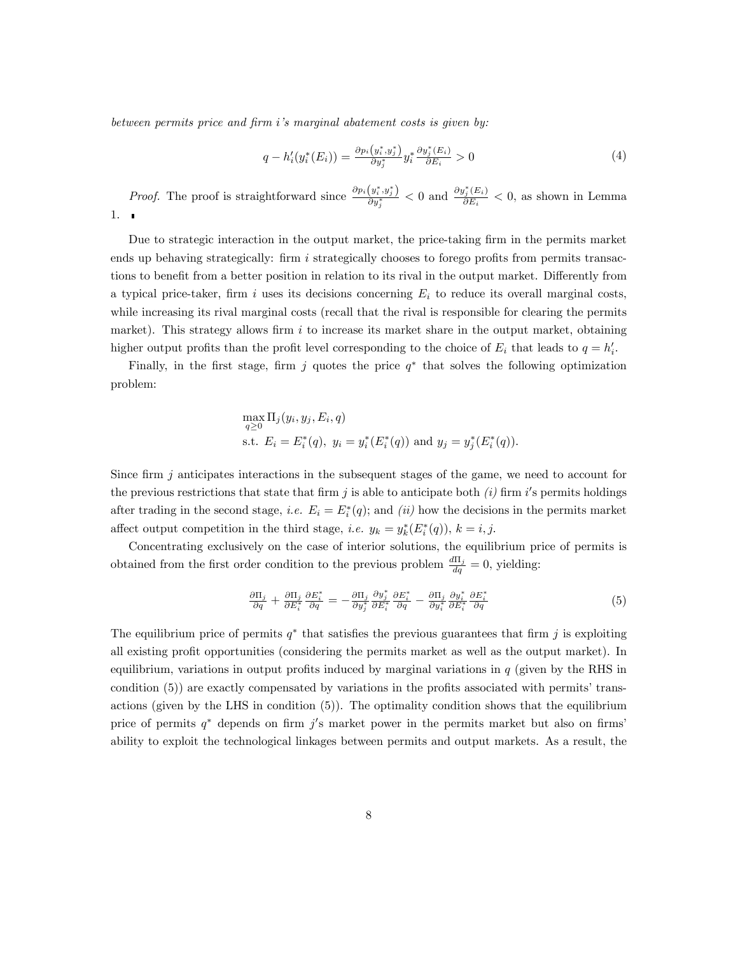between permits price and firm  $i$ 's marginal abatement costs is given by:

$$
q - h_i'(y_i^*(E_i)) = \frac{\partial p_i(y_i^*, y_j^*)}{\partial y_j^*} y_i^* \frac{\partial y_j^*(E_i)}{\partial E_i} > 0
$$
\n<sup>(4)</sup>

*Proof.* The proof is straightforward since  $\frac{\partial p_i(y_i^*, y_j^*)}{\partial u^*}$  $\frac{\left(y^*_i, y^*_j\right)}{\partial y^*_j} < 0 \text{ and } \frac{\partial y^*_j(E_i)}{\partial E_i}$  $\frac{\partial f_j(\Sigma_i)}{\partial E_i} < 0$ , as shown in Lemma 1.

Due to strategic interaction in the output market, the price-taking firm in the permits market ends up behaving strategically: firm  $i$  strategically chooses to forego profits from permits transactions to benefit from a better position in relation to its rival in the output market. Differently from a typical price-taker, firm i uses its decisions concerning  $E_i$  to reduce its overall marginal costs, while increasing its rival marginal costs (recall that the rival is responsible for clearing the permits market). This strategy allows firm  $i$  to increase its market share in the output market, obtaining higher output profits than the profit level corresponding to the choice of  $E_i$  that leads to  $q = h'_i$ .

Finally, in the first stage, firm j quotes the price  $q^*$  that solves the following optimization problem:

$$
\max_{q \ge 0} \Pi_j(y_i, y_j, E_i, q)
$$
  
s.t.  $E_i = E_i^*(q)$ ,  $y_i = y_i^*(E_i^*(q))$  and  $y_j = y_j^*(E_i^*(q))$ .

Since firm  $j$  anticipates interactions in the subsequent stages of the game, we need to account for the previous restrictions that state that firm j is able to anticipate both  $(i)$  firm i's permits holdings after trading in the second stage, *i.e.*  $E_i = E_i^*(q)$ ; and *(ii)* how the decisions in the permits market affect output competition in the third stage, *i.e.*  $y_k = y_k^*(E_i^*(q))$ ,  $k = i, j$ .

Concentrating exclusively on the case of interior solutions, the equilibrium price of permits is obtained from the first order condition to the previous problem  $\frac{d\Pi_j}{dq} = 0$ , yielding:

$$
\frac{\partial \Pi_j}{\partial q} + \frac{\partial \Pi_j}{\partial E_i^*} \frac{\partial E_i^*}{\partial q} = -\frac{\partial \Pi_j}{\partial y_j^*} \frac{\partial y_j^*}{\partial E_i^*} \frac{\partial E_i^*}{\partial q} - \frac{\partial \Pi_j}{\partial y_i^*} \frac{\partial y_i^*}{\partial E_i^*} \frac{\partial E_i^*}{\partial q} \tag{5}
$$

The equilibrium price of permits  $q^*$  that satisfies the previous guarantees that firm j is exploiting all existing profit opportunities (considering the permits market as well as the output market). In equilibrium, variations in output profits induced by marginal variations in  $q$  (given by the RHS in condition  $(5)$ ) are exactly compensated by variations in the profits associated with permits' transactions (given by the LHS in condition (5)). The optimality condition shows that the equilibrium price of permits  $q^*$  depends on firm j's market power in the permits market but also on firms' ability to exploit the technological linkages between permits and output markets. As a result, the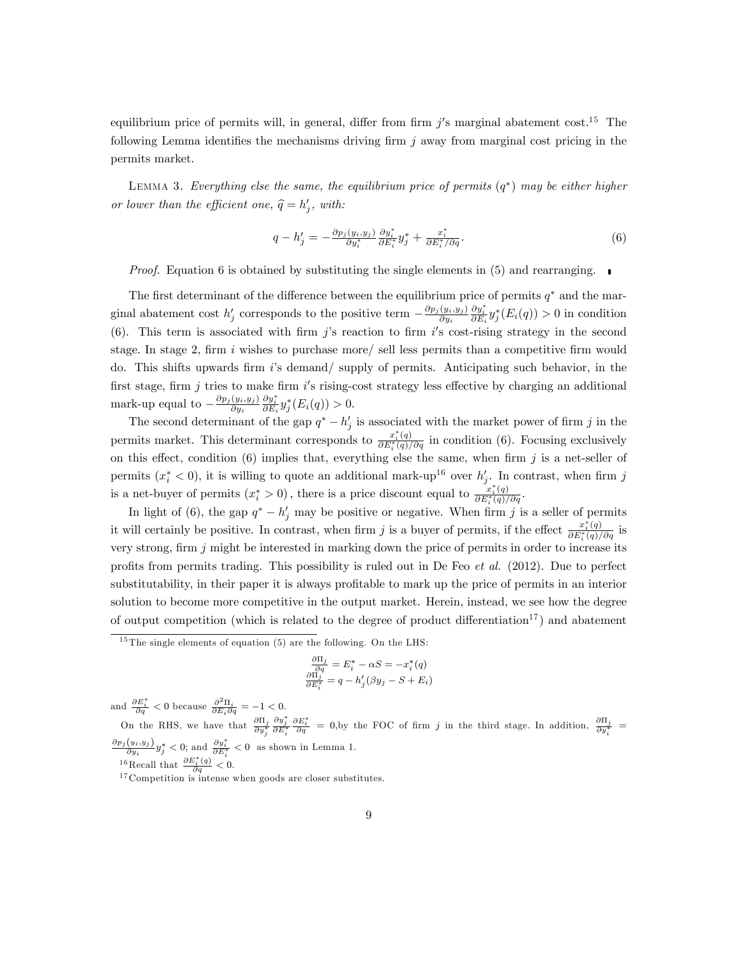equilibrium price of permits will, in general, differ from firm  $j'$ s marginal abatement cost.<sup>15</sup> The following Lemma identifies the mechanisms driving firm  $j$  away from marginal cost pricing in the permits market.

LEMMA 3. Everything else the same, the equilibrium price of permits  $(q^*)$  may be either higher or lower than the efficient one,  $\hat{q} = h'_j$ , with:

$$
q - h'_j = -\frac{\partial p_j(y_i, y_j)}{\partial y_i^*} \frac{\partial y_i^*}{\partial E_i^*} y_j^* + \frac{x_i^*}{\partial E_i^* / \partial q}.
$$
\n
$$
(6)
$$

*Proof.* Equation 6 is obtained by substituting the single elements in (5) and rearranging.

The first determinant of the difference between the equilibrium price of permits  $q^*$  and the marginal abatement cost  $h'_j$  corresponds to the positive term  $-\frac{\partial p_j(y_i, y_j)}{\partial y_i}$  $\partial y_i$  $\frac{\partial y_i^*}{\partial E_i} y_j^*(E_i(q)) > 0$  in condition  $(6)$ . This term is associated with firm j's reaction to firm i's cost-rising strategy in the second stage. In stage 2, firm i wishes to purchase more/ sell less permits than a competitive firm would do. This shifts upwards firm is demand/ supply of permits. Anticipating such behavior, in the first stage, firm j tries to make firm i's rising-cost strategy less effective by charging an additional mark-up equal to  $-\frac{\partial p_j(y_i, y_j)}{\partial y_i}$  $\partial y_i$  $\frac{\partial y_i^*}{\partial E_i} y_j^*(E_i(q)) > 0.$ 

The second determinant of the gap  $q^* - h'_j$  is associated with the market power of firm j in the permits market. This determinant corresponds to  $\frac{x_i^*(q)}{\partial E^*(q)}$  $\frac{x_i(q)}{\partial E_i^*(q)/\partial q}$  in condition (6). Focusing exclusively on this effect, condition (6) implies that, everything else the same, when firm  $j$  is a net-seller of permits  $(x_i^* < 0)$ , it is willing to quote an additional mark-up<sup>16</sup> over  $h'_j$ . In contrast, when firm j is a net-buyer of permits  $(x_i^* > 0)$ , there is a price discount equal to  $\frac{x_i^*(q)}{\partial E_i^*(q)}$  $\frac{x_i(q)}{\partial E_i^*(q)/\partial q}$ .

In light of (6), the gap  $q^* - h'_j$  may be positive or negative. When firm j is a seller of permits it will certainly be positive. In contrast, when firm j is a buyer of permits, if the effect  $\frac{x_i^*(q)}{\partial F^*(q)}$  $\frac{x_i(q)}{\partial E_i^*(q)/\partial q}$  is very strong, firm  $j$  might be interested in marking down the price of permits in order to increase its profits from permits trading. This possibility is ruled out in De Feo  $et$  al. (2012). Due to perfect substitutability, in their paper it is always profitable to mark up the price of permits in an interior solution to become more competitive in the output market. Herein, instead, we see how the degree of output competition (which is related to the degree of product differentiation<sup>17</sup>) and abatement

$$
\frac{\partial \Pi_j}{\partial q} = E_i^* - \alpha S = -x_i^*(q)
$$
  

$$
\frac{\partial \Pi_j}{\partial E_i^*} = q - h'_j(\beta y_j - S + E_i)
$$

and  $\frac{\partial E_i^*}{\partial q} < 0$  because  $\frac{\partial^2 \Pi_i}{\partial E_i \partial q} = -1 < 0$ .

On the RHS, we have that  $\frac{\partial \Pi_j}{\partial y_j^*}$  $\frac{\partial y^*_j}{\partial E^*_i}$  $\frac{\partial E_i^*}{\partial q} = 0$ , by the FOC of firm j in the third stage. In addition,  $\frac{\partial \Pi_j}{\partial y_i^*} =$  $\partial p_j(y_i,y_j)$  $\frac{(y_i, y_j)}{\partial y_i} y_j^* < 0$ ; and  $\frac{\partial y_i^*}{\partial E_i^*} < 0$  as shown in Lemma 1.

$$
{}^{16}\text{Recall that } \frac{\partial E_i^*(q)}{\partial q} < 0.
$$

 $17$  Competition is intense when goods are closer substitutes.

 $15$ The single elements of equation (5) are the following. On the LHS: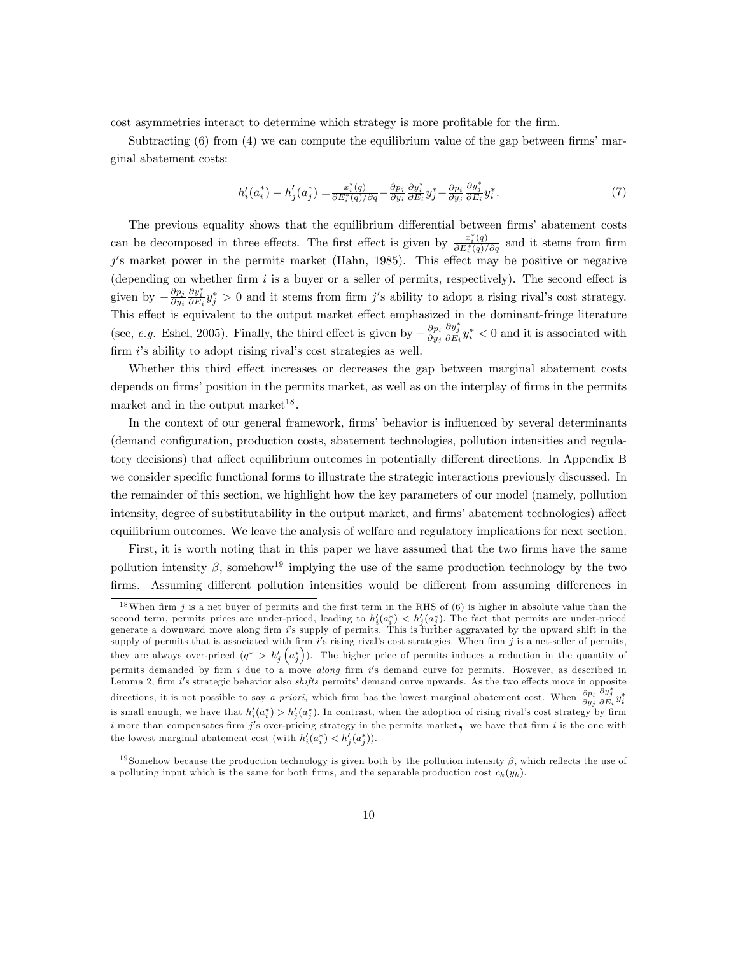cost asymmetries interact to determine which strategy is more profitable for the firm.

Subtracting  $(6)$  from  $(4)$  we can compute the equilibrium value of the gap between firms' marginal abatement costs:

$$
h_i'(a_i^*) - h_j'(a_j^*) = \frac{x_i^*(q)}{\partial E_i^*(q)/\partial q} - \frac{\partial p_j}{\partial y_i} \frac{\partial y_i^*}{\partial E_i} y_j^* - \frac{\partial p_i}{\partial y_j} \frac{\partial y_j^*}{\partial E_i} y_i^*.
$$
 (7)

The previous equality shows that the equilibrium differential between firms' abatement costs can be decomposed in three effects. The first effect is given by  $\frac{x_i^*(q)}{\partial F^*(q)}$  $\frac{x_i(q)}{\partial E_i^*(q)/\partial q}$  and it stems from firm j's market power in the permits market (Hahn, 1985). This effect may be positive or negative (depending on whether firm  $i$  is a buyer or a seller of permits, respectively). The second effect is given by  $-\frac{\partial p_j}{\partial y_i}$  $\partial y_i$  $\frac{\partial y_i^*}{\partial E_i} y_j^* > 0$  and it stems from firm j's ability to adopt a rising rival's cost strategy. This effect is equivalent to the output market effect emphasized in the dominant-fringe literature (see, *e.g.* Eshel, 2005). Finally, the third effect is given by  $-\frac{\partial p_i}{\partial y_j}$  $\frac{\partial y_j^*}{\partial E_i} y_i^* < 0$  and it is associated with firm  $i$ 's ability to adopt rising rival's cost strategies as well.

Whether this third effect increases or decreases the gap between marginal abatement costs depends on firms' position in the permits market, as well as on the interplay of firms in the permits market and in the output market<sup>18</sup>.

In the context of our general framework, firms' behavior is influenced by several determinants (demand configuration, production costs, abatement technologies, pollution intensities and regulatory decisions) that affect equilibrium outcomes in potentially different directions. In Appendix B we consider specific functional forms to illustrate the strategic interactions previously discussed. In the remainder of this section, we highlight how the key parameters of our model (namely, pollution intensity, degree of substitutability in the output market, and firms' abatement technologies) affect equilibrium outcomes. We leave the analysis of welfare and regulatory implications for next section.

First, it is worth noting that in this paper we have assumed that the two firms have the same pollution intensity  $\beta$ , somehow<sup>19</sup> implying the use of the same production technology by the two firms. Assuming different pollution intensities would be different from assuming differences in

<sup>&</sup>lt;sup>18</sup>When firm j is a net buyer of permits and the first term in the RHS of (6) is higher in absolute value than the second term, permits prices are under-priced, leading to  $h_i'(a_i^*) < h_j'(a_i^*)$ . The fact that permits are under-priced generate a downward move along firm is supply of permits. This is further aggravated by the upward shift in the supply of permits that is associated with firm  $i'$ s rising rival's cost strategies. When firm  $j$  is a net-seller of permits, they are always over-priced  $(q^* > h'_j(q_j^*))$ . The higher price of permits induces a reduction in the quantity of permits demanded by firm  $i$  due to a move *along* firm  $i$ 's demand curve for permits. However, as described in Lemma 2, firm i's strategic behavior also *shifts* permits' demand curve upwards. As the two effects move in opposite directions, it is not possible to say a priori, which firm has the lowest marginal abatement cost. When  $\frac{\partial p_i}{\partial y_j}$  $\frac{\partial y^*_j}{\partial E_i} y^*_i$ is small enough, we have that  $h'_i(a_i^*) > h'_j(a_j^*)$ . In contrast, when the adoption of rising rival's cost strategy by firm is small enough, we have that  $n_i(a_i) > n_j(a_j)$ . In contrast, when the adoption of itsing fival s cost strategy by firm<br>i more than compensates firm j's over-pricing strategy in the permits market, we have that firm i is the the lowest marginal abatement cost (with  $h_i'(a_i^*) < h_j'(a_j^*)$ ).

<sup>&</sup>lt;sup>19</sup> Somehow because the production technology is given both by the pollution intensity  $\beta$ , which reflects the use of a polluting input which is the same for both firms, and the separable production cost  $c_k(y_k)$ .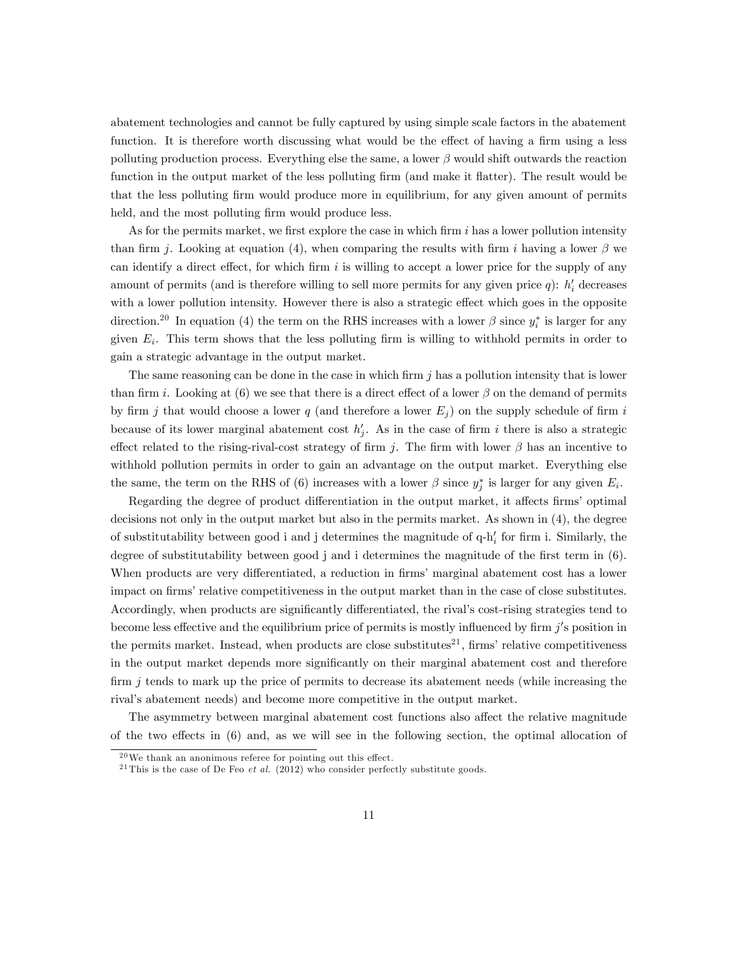abatement technologies and cannot be fully captured by using simple scale factors in the abatement function. It is therefore worth discussing what would be the effect of having a firm using a less polluting production process. Everything else the same, a lower  $\beta$  would shift outwards the reaction function in the output market of the less polluting firm (and make it flatter). The result would be that the less polluting firm would produce more in equilibrium, for any given amount of permits held, and the most polluting firm would produce less.

As for the permits market, we first explore the case in which firm  $i$  has a lower pollution intensity than firm j. Looking at equation (4), when comparing the results with firm i having a lower  $\beta$  we can identify a direct effect, for which firm  $i$  is willing to accept a lower price for the supply of any amount of permits (and is therefore willing to sell more permits for any given price  $q$ ):  $h'_{i}$  decreases with a lower pollution intensity. However there is also a strategic effect which goes in the opposite direction.<sup>20</sup> In equation (4) the term on the RHS increases with a lower  $\beta$  since  $y_i^*$  is larger for any given  $E_i$ . This term shows that the less polluting firm is willing to withhold permits in order to gain a strategic advantage in the output market.

The same reasoning can be done in the case in which firm  $j$  has a pollution intensity that is lower than firm i. Looking at (6) we see that there is a direct effect of a lower  $\beta$  on the demand of permits by firm j that would choose a lower q (and therefore a lower  $E_j$ ) on the supply schedule of firm i because of its lower marginal abatement cost  $h'_j$ . As in the case of firm i there is also a strategic effect related to the rising-rival-cost strategy of firm j. The firm with lower  $\beta$  has an incentive to withhold pollution permits in order to gain an advantage on the output market. Everything else the same, the term on the RHS of (6) increases with a lower  $\beta$  since  $y_j^*$  is larger for any given  $E_i$ .

Regarding the degree of product differentiation in the output market, it affects firms' optimal decisions not only in the output market but also in the permits market. As shown in (4), the degree of substitutability between good i and j determines the magnitude of  $q-h'_i$  for firm i. Similarly, the degree of substitutability between good j and i determines the magnitude of the first term in  $(6)$ . When products are very differentiated, a reduction in firms' marginal abatement cost has a lower impact on firms' relative competitiveness in the output market than in the case of close substitutes. Accordingly, when products are significantly differentiated, the rival's cost-rising strategies tend to become less effective and the equilibrium price of permits is mostly influenced by firm  $j'$ s position in the permits market. Instead, when products are close substitutes<sup>21</sup>, firms' relative competitiveness in the output market depends more significantly on their marginal abatement cost and therefore firm  $j$  tends to mark up the price of permits to decrease its abatement needs (while increasing the rival's abatement needs) and become more competitive in the output market.

The asymmetry between marginal abatement cost functions also affect the relative magnitude of the two effects in  $(6)$  and, as we will see in the following section, the optimal allocation of

 $20$ We thank an anonimous referee for pointing out this effect.

<sup>&</sup>lt;sup>21</sup>This is the case of De Feo *et al.* (2012) who consider perfectly substitute goods.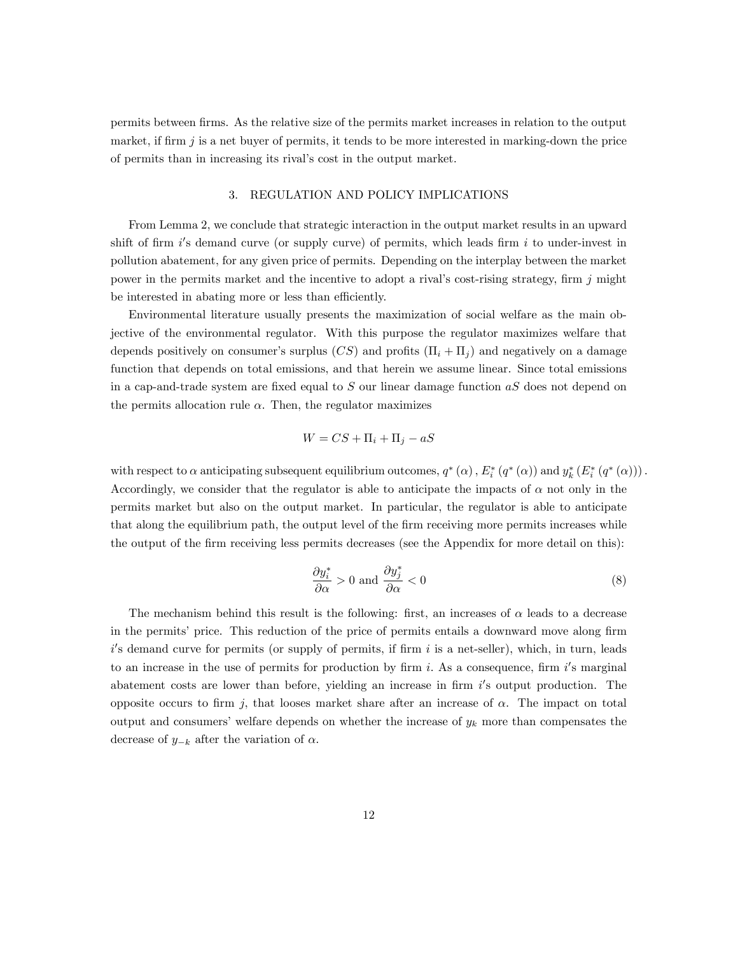permits between firms. As the relative size of the permits market increases in relation to the output market, if firm  $j$  is a net buyer of permits, it tends to be more interested in marking-down the price of permits than in increasing its rivalís cost in the output market.

#### 3. REGULATION AND POLICY IMPLICATIONS

From Lemma 2, we conclude that strategic interaction in the output market results in an upward shift of firm i's demand curve (or supply curve) of permits, which leads firm i to under-invest in pollution abatement, for any given price of permits. Depending on the interplay between the market power in the permits market and the incentive to adopt a rival's cost-rising strategy, firm  $j$  might be interested in abating more or less than efficiently.

Environmental literature usually presents the maximization of social welfare as the main objective of the environmental regulator. With this purpose the regulator maximizes welfare that depends positively on consumer's surplus  $(CS)$  and profits  $(\Pi_i + \Pi_j)$  and negatively on a damage function that depends on total emissions, and that herein we assume linear. Since total emissions in a cap-and-trade system are fixed equal to  $S$  our linear damage function  $aS$  does not depend on the permits allocation rule  $\alpha$ . Then, the regulator maximizes

$$
W = CS + \Pi_i + \Pi_j - aS
$$

with respect to  $\alpha$  anticipating subsequent equilibrium outcomes,  $q^*(\alpha)$ ,  $E_i^*(q^*(\alpha))$  and  $y_k^*(E_i^*(q^*(\alpha)))$ . Accordingly, we consider that the regulator is able to anticipate the impacts of  $\alpha$  not only in the permits market but also on the output market. In particular, the regulator is able to anticipate that along the equilibrium path, the output level of the firm receiving more permits increases while the output of the Örm receiving less permits decreases (see the Appendix for more detail on this):

$$
\frac{\partial y_i^*}{\partial \alpha} > 0 \text{ and } \frac{\partial y_j^*}{\partial \alpha} < 0 \tag{8}
$$

The mechanism behind this result is the following: first, an increases of  $\alpha$  leads to a decrease in the permits' price. This reduction of the price of permits entails a downward move along firm  $i$ 's demand curve for permits (or supply of permits, if firm  $i$  is a net-seller), which, in turn, leads to an increase in the use of permits for production by firm i. As a consequence, firm  $i'$ s marginal abatement costs are lower than before, yielding an increase in firm  $i$ 's output production. The opposite occurs to firm j, that looses market share after an increase of  $\alpha$ . The impact on total output and consumers' welfare depends on whether the increase of  $y_k$  more than compensates the decrease of  $y_{-k}$  after the variation of  $\alpha$ .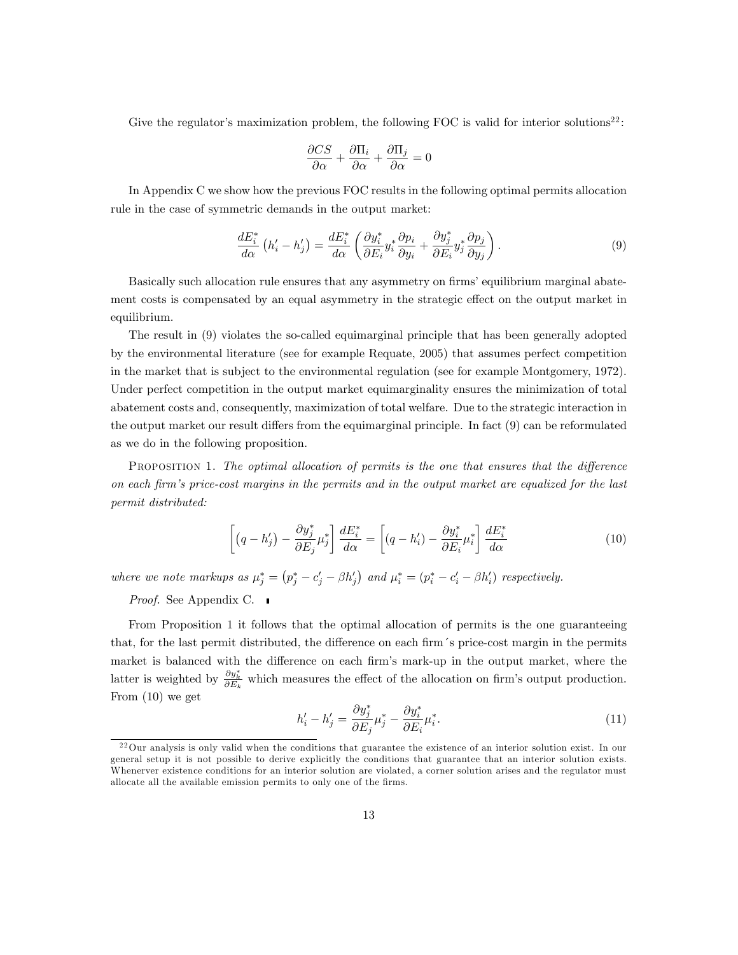Give the regulator's maximization problem, the following FOC is valid for interior solutions<sup>22</sup>:

$$
\frac{\partial CS}{\partial \alpha} + \frac{\partial \Pi_i}{\partial \alpha} + \frac{\partial \Pi_j}{\partial \alpha} = 0
$$

In Appendix C we show how the previous FOC results in the following optimal permits allocation rule in the case of symmetric demands in the output market:

$$
\frac{dE_i^*}{d\alpha} \left( h_i' - h_j' \right) = \frac{dE_i^*}{d\alpha} \left( \frac{\partial y_i^*}{\partial E_i} y_i^* \frac{\partial p_i}{\partial y_i} + \frac{\partial y_j^*}{\partial E_i} y_j^* \frac{\partial p_j}{\partial y_j} \right). \tag{9}
$$

Basically such allocation rule ensures that any asymmetry on firms' equilibrium marginal abatement costs is compensated by an equal asymmetry in the strategic effect on the output market in equilibrium.

The result in (9) violates the so-called equimarginal principle that has been generally adopted by the environmental literature (see for example Requate, 2005) that assumes perfect competition in the market that is subject to the environmental regulation (see for example Montgomery, 1972). Under perfect competition in the output market equimarginality ensures the minimization of total abatement costs and, consequently, maximization of total welfare. Due to the strategic interaction in the output market our result differs from the equimarginal principle. In fact  $(9)$  can be reformulated as we do in the following proposition.

PROPOSITION 1. The optimal allocation of permits is the one that ensures that the difference on each Örmís price-cost margins in the permits and in the output market are equalized for the last permit distributed:

$$
\left[ \left( q - h'_j \right) - \frac{\partial y_j^*}{\partial E_j} \mu_j^* \right] \frac{dE_i^*}{d\alpha} = \left[ \left( q - h'_i \right) - \frac{\partial y_i^*}{\partial E_i} \mu_i^* \right] \frac{dE_i^*}{d\alpha} \tag{10}
$$

where we note markups as  $\mu_j^* = (p_j^* - c_j' - \beta h_j')$  and  $\mu_i^* = (p_i^* - c_i' - \beta h_i')$  respectively.

Proof. See Appendix C.

From Proposition 1 it follows that the optimal allocation of permits is the one guaranteeing that, for the last permit distributed, the difference on each firm's price-cost margin in the permits market is balanced with the difference on each firm's mark-up in the output market, where the latter is weighted by  $\frac{\partial y_k^*}{\partial E_k}$  which measures the effect of the allocation on firm's output production. From (10) we get

$$
h'_i - h'_j = \frac{\partial y_j^*}{\partial E_j} \mu_j^* - \frac{\partial y_i^*}{\partial E_i} \mu_i^*.
$$
\n(11)

<sup>&</sup>lt;sup>22</sup>Our analysis is only valid when the conditions that guarantee the existence of an interior solution exist. In our general setup it is not possible to derive explicitly the conditions that guarantee that an interior solution exists. Whenerver existence conditions for an interior solution are violated, a corner solution arises and the regulator must allocate all the available emission permits to only one of the firms.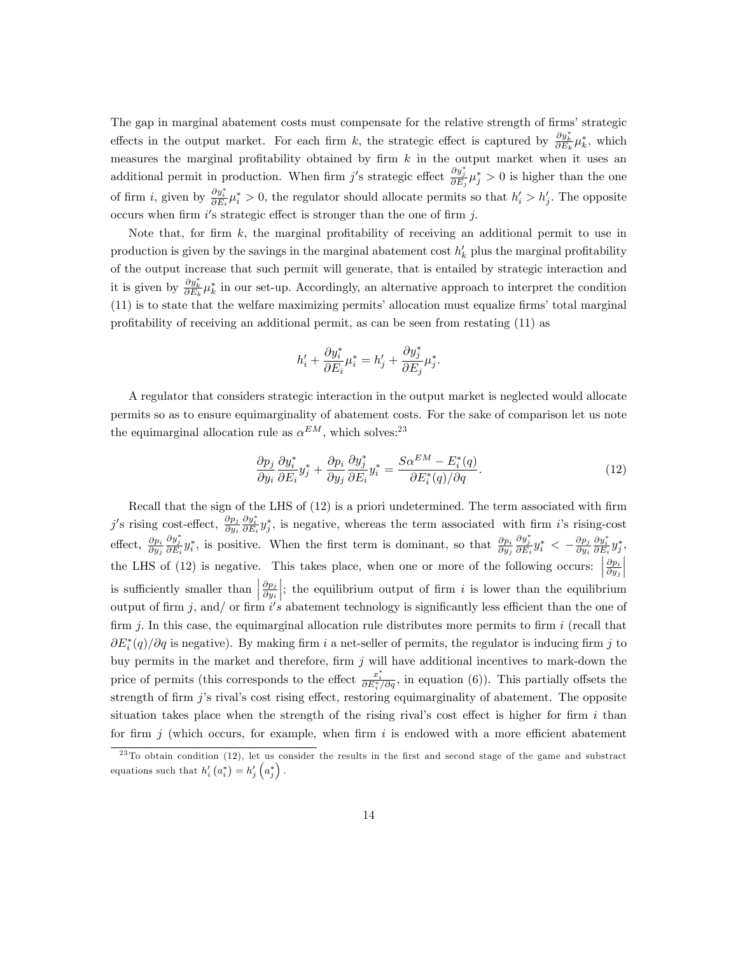The gap in marginal abatement costs must compensate for the relative strength of firms' strategic effects in the output market. For each firm k, the strategic effect is captured by  $\frac{\partial y_k^*}{\partial E_k} \mu_k^*$ , which measures the marginal profitability obtained by firm  $k$  in the output market when it uses an additional permit in production. When firm j's strategic effect  $\frac{\partial y_j^*}{\partial E_j}\mu_j^* > 0$  is higher than the one of firm *i*, given by  $\frac{\partial y_i^*}{\partial E_i} \mu_i^* > 0$ , the regulator should allocate permits so that  $h'_i > h'_j$ . The opposite occurs when firm  $i$ 's strategic effect is stronger than the one of firm j.

Note that, for firm  $k$ , the marginal profitability of receiving an additional permit to use in production is given by the savings in the marginal abatement cost  $h'_k$  plus the marginal profitability of the output increase that such permit will generate, that is entailed by strategic interaction and it is given by  $\frac{\partial y_k^*}{\partial E_k} \mu_k^*$  in our set-up. Accordingly, an alternative approach to interpret the condition  $(11)$  is to state that the welfare maximizing permits' allocation must equalize firms' total marginal profitability of receiving an additional permit, as can be seen from restating  $(11)$  as

$$
h'_{i} + \frac{\partial y_i^*}{\partial E_i} \mu_i^* = h'_{j} + \frac{\partial y_j^*}{\partial E_j} \mu_j^*.
$$

A regulator that considers strategic interaction in the output market is neglected would allocate permits so as to ensure equimarginality of abatement costs. For the sake of comparison let us note the equimarginal allocation rule as  $\alpha^{EM}$ , which solves:<sup>23</sup>

$$
\frac{\partial p_j}{\partial y_i} \frac{\partial y_i^*}{\partial E_i} y_j^* + \frac{\partial p_i}{\partial y_j} \frac{\partial y_j^*}{\partial E_i} y_i^* = \frac{S \alpha^{EM} - E_i^*(q)}{\partial E_i^*(q)/\partial q}.
$$
\n(12)

Recall that the sign of the LHS of (12) is a priori undetermined. The term associated with firm  $j$ 's rising cost-effect,  $\frac{\partial p_j}{\partial y_i}$  $\frac{\partial y_i^*}{\partial E_i} y_j^*$ , is negative, whereas the term associated with firm *i*'s rising-cost effect,  $\frac{\partial p_i}{\partial y_j}$  $\frac{\partial y_j^*}{\partial E_i} y_i^*$ , is positive. When the first term is dominant, so that  $\frac{\partial p_i}{\partial y_j}$  $\frac{\partial y^*_j}{\partial E_i} y^*_i < -\frac{\partial p_j}{\partial y_i}$  $\partial y_i$  $\frac{\partial y_i^*}{\partial E_i} y_j^*,$ the LHS of  $(12)$  is negative. This takes place, when one or more of the following occurs:  $|\partial p_i|$  $\frac{\partial p_i}{\partial y_j}\Big|$ is sufficiently smaller than  $\Big|$  $\partial p_j$  $\partial y_i$ ; the equilibrium output of firm  $i$  is lower than the equilibrium output of firm j, and/ or firm i's abatement technology is significantly less efficient than the one of firm j. In this case, the equimarginal allocation rule distributes more permits to firm  $i$  (recall that  $\partial E_i^*(q)/\partial q$  is negative). By making firm i a net-seller of permits, the regulator is inducing firm j to buy permits in the market and therefore, firm  $j$  will have additional incentives to mark-down the price of permits (this corresponds to the effect  $\frac{x_i^*}{\partial E_i^*/\partial q}$ , in equation (6)). This partially offsets the strength of firm  $j$ 's rival's cost rising effect, restoring equimarginality of abatement. The opposite situation takes place when the strength of the rising rival's cost effect is higher for firm  $i$  than for firm j (which occurs, for example, when firm i is endowed with a more efficient abatement

 $^{23}$ To obtain condition (12), let us consider the results in the first and second stage of the game and substract equations such that  $h'_i(a_i^*) = h'_j(a_j^*)$ .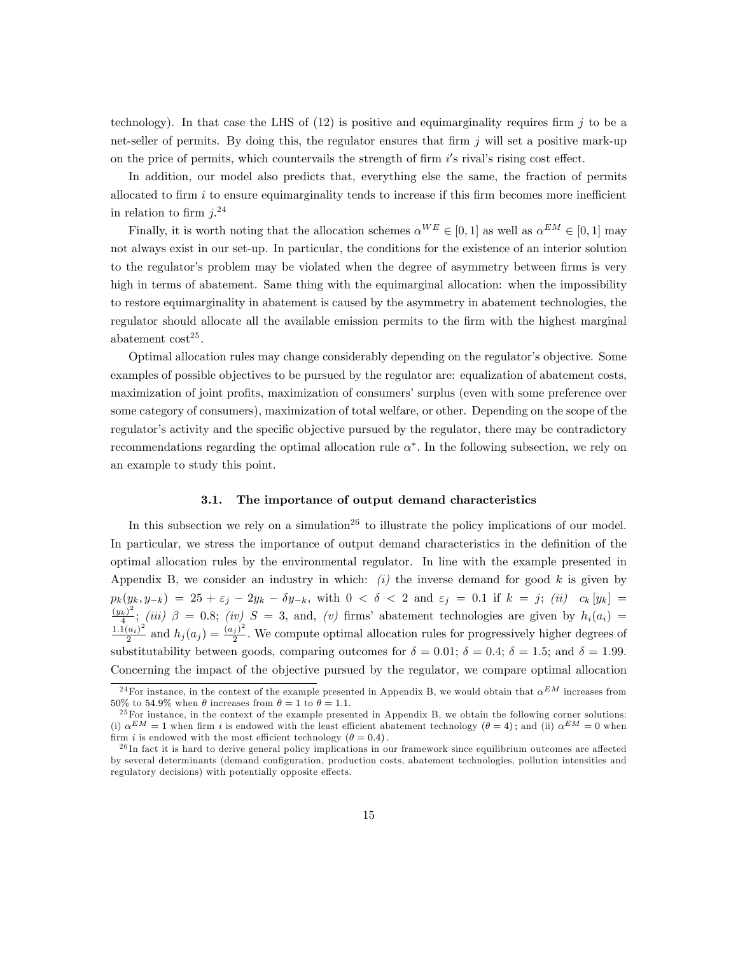technology). In that case the LHS of  $(12)$  is positive and equimarginality requires firm j to be a net-seller of permits. By doing this, the regulator ensures that firm  $j$  will set a positive mark-up on the price of permits, which countervails the strength of firm  $i$ 's rival's rising cost effect.

In addition, our model also predicts that, everything else the same, the fraction of permits allocated to firm  $i$  to ensure equimarginality tends to increase if this firm becomes more inefficient in relation to firm  $j^{24}$ 

Finally, it is worth noting that the allocation schemes  $\alpha^{WE} \in [0, 1]$  as well as  $\alpha^{EM} \in [0, 1]$  may not always exist in our set-up. In particular, the conditions for the existence of an interior solution to the regulator's problem may be violated when the degree of asymmetry between firms is very high in terms of abatement. Same thing with the equimarginal allocation: when the impossibility to restore equimarginality in abatement is caused by the asymmetry in abatement technologies, the regulator should allocate all the available emission permits to the firm with the highest marginal abatement  $\cos t^{25}$ .

Optimal allocation rules may change considerably depending on the regulator's objective. Some examples of possible objectives to be pursued by the regulator are: equalization of abatement costs, maximization of joint profits, maximization of consumers' surplus (even with some preference over some category of consumers), maximization of total welfare, or other. Depending on the scope of the regulator's activity and the specific objective pursued by the regulator, there may be contradictory recommendations regarding the optimal allocation rule  $\alpha^*$ . In the following subsection, we rely on an example to study this point.

#### 3.1. The importance of output demand characteristics

In this subsection we rely on a simulation<sup>26</sup> to illustrate the policy implications of our model. In particular, we stress the importance of output demand characteristics in the definition of the optimal allocation rules by the environmental regulator. In line with the example presented in Appendix B, we consider an industry in which:  $(i)$  the inverse demand for good k is given by  $p_k(y_k, y_{-k}) = 25 + \varepsilon_j - 2y_k - \delta y_{-k}$ , with  $0 < \delta < 2$  and  $\varepsilon_j = 0.1$  if  $k = j$ ; (ii)  $c_k [y_k] =$  $(y_k)^2$  $\frac{1}{4}$ ; (iii)  $\beta = 0.8$ ; (iv)  $S = 3$ , and, (v) firms' abatement technologies are given by  $h_i(a_i) =$  $1.\overline{1}(a_i)^2$  $\frac{(a_i)^2}{2}$  and  $h_j(a_j) = \frac{(a_j)^2}{2}$  $\frac{j}{2}$ . We compute optimal allocation rules for progressively higher degrees of substitutability between goods, comparing outcomes for  $\delta = 0.01$ ;  $\delta = 0.4$ ;  $\delta = 1.5$ ; and  $\delta = 1.99$ . Concerning the impact of the objective pursued by the regulator, we compare optimal allocation

<sup>&</sup>lt;sup>24</sup> For instance, in the context of the example presented in Appendix B, we would obtain that  $\alpha^{EM}$  increases from 50% to 54.9% when  $\theta$  increases from  $\theta = 1$  to  $\theta = 1.1$ .

 $^{25}$  For instance, in the context of the example presented in Appendix B, we obtain the following corner solutions: (i)  $\alpha^{EM} = 1$  when firm i is endowed with the least efficient abatement technology  $(\theta = 4)$ ; and (ii)  $\alpha^{EM} = 0$  when firm *i* is endowed with the most efficient technology ( $\theta = 0.4$ ).

 $^{26}$  In fact it is hard to derive general policy implications in our framework since equilibrium outcomes are affected by several determinants (demand configuration, production costs, abatement technologies, pollution intensities and regulatory decisions) with potentially opposite effects.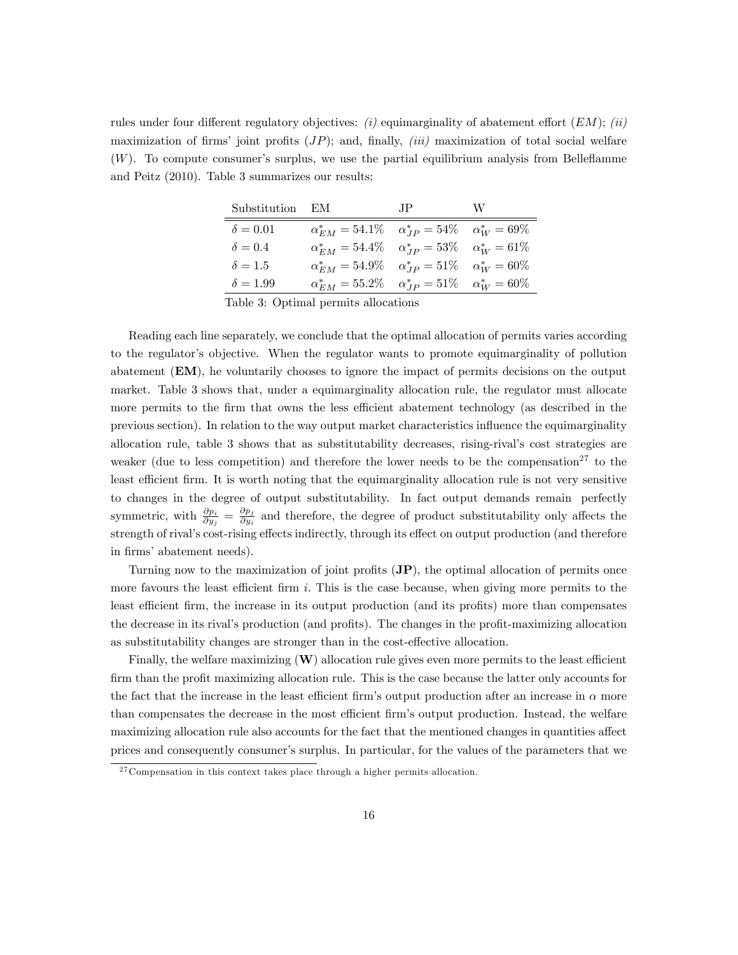rules under four different regulatory objectives: (i) equimarginality of abatement effort  $(EM)$ ; (ii) maximization of firms' joint profits  $(JP)$ ; and, finally, *(iii)* maximization of total social welfare  $(W)$ . To compute consumer's surplus, we use the partial equilibrium analysis from Belleflamme and Peitz (2010). Table 3 summarizes our results:

| Substitution EM |                                                                     | JP | W |
|-----------------|---------------------------------------------------------------------|----|---|
| $\delta = 0.01$ | $\alpha_{EM}^* = 54.1\%$ $\alpha_{IP}^* = 54\%$ $\alpha_W^* = 69\%$ |    |   |
| $\delta = 0.4$  | $\alpha_{EM}^* = 54.4\%$ $\alpha_{IP}^* = 53\%$ $\alpha_W^* = 61\%$ |    |   |
| $\delta = 1.5$  | $\alpha_{EM}^* = 54.9\%$ $\alpha_{JP}^* = 51\%$ $\alpha_W^* = 60\%$ |    |   |
| $\delta = 1.99$ | $\alpha_{EM}^* = 55.2\%$ $\alpha_{JP}^* = 51\%$ $\alpha_W^* = 60\%$ |    |   |
|                 |                                                                     |    |   |

Table 3: Optimal permits allocations

Reading each line separately, we conclude that the optimal allocation of permits varies according to the regulator's objective. When the regulator wants to promote equimarginality of pollution abatement (EM), he voluntarily chooses to ignore the impact of permits decisions on the output market. Table 3 shows that, under a equimarginality allocation rule, the regulator must allocate more permits to the firm that owns the less efficient abatement technology (as described in the previous section). In relation to the way output market characteristics ináuence the equimarginality allocation rule, table 3 shows that as substitutability decreases, rising-rivalís cost strategies are weaker (due to less competition) and therefore the lower needs to be the compensation<sup>27</sup> to the least efficient firm. It is worth noting that the equimarginality allocation rule is not very sensitive to changes in the degree of output substitutability. In fact output demands remain perfectly symmetric, with  $\frac{\partial p_i}{\partial y_j} = \frac{\partial p_j}{\partial y_i}$  $\frac{\partial p_j}{\partial y_i}$  and therefore, the degree of product substitutability only affects the strength of rival's cost-rising effects indirectly, through its effect on output production (and therefore in firms' abatement needs).

Turning now to the maximization of joint profits  $J\mathbf{P}$ ), the optimal allocation of permits once more favours the least efficient firm  $i$ . This is the case because, when giving more permits to the least efficient firm, the increase in its output production (and its profits) more than compensates the decrease in its rival's production (and profits). The changes in the profit-maximizing allocation as substitutability changes are stronger than in the cost-effective allocation.

Finally, the welfare maximizing  $(W)$  allocation rule gives even more permits to the least efficient firm than the profit maximizing allocation rule. This is the case because the latter only accounts for the fact that the increase in the least efficient firm's output production after an increase in  $\alpha$  more than compensates the decrease in the most efficient firm's output production. Instead, the welfare maximizing allocation rule also accounts for the fact that the mentioned changes in quantities affect prices and consequently consumer's surplus. In particular, for the values of the parameters that we

 $27$  Compensation in this context takes place through a higher permits allocation.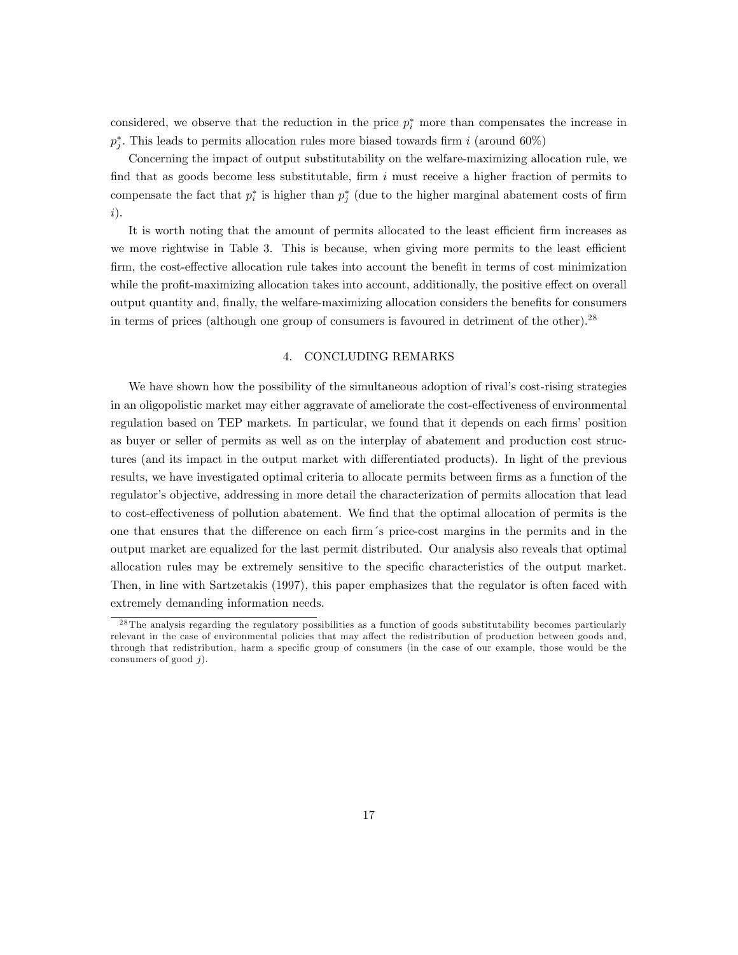considered, we observe that the reduction in the price  $p_i^*$  more than compensates the increase in  $p_j^*$ . This leads to permits allocation rules more biased towards firm i (around 60%)

Concerning the impact of output substitutability on the welfare-maximizing allocation rule, we find that as goods become less substitutable, firm  $i$  must receive a higher fraction of permits to compensate the fact that  $p_i^*$  is higher than  $p_j^*$  (due to the higher marginal abatement costs of firm i).

It is worth noting that the amount of permits allocated to the least efficient firm increases as we move rightwise in Table 3. This is because, when giving more permits to the least efficient firm, the cost-effective allocation rule takes into account the benefit in terms of cost minimization while the profit-maximizing allocation takes into account, additionally, the positive effect on overall output quantity and, finally, the welfare-maximizing allocation considers the benefits for consumers in terms of prices (although one group of consumers is favoured in detriment of the other).<sup>28</sup>

### 4. CONCLUDING REMARKS

We have shown how the possibility of the simultaneous adoption of rival's cost-rising strategies in an oligopolistic market may either aggravate of ameliorate the cost-effectiveness of environmental regulation based on TEP markets. In particular, we found that it depends on each firms' position as buyer or seller of permits as well as on the interplay of abatement and production cost structures (and its impact in the output market with differentiated products). In light of the previous results, we have investigated optimal criteria to allocate permits between firms as a function of the regulator's objective, addressing in more detail the characterization of permits allocation that lead to cost-effectiveness of pollution abatement. We find that the optimal allocation of permits is the one that ensures that the difference on each firm s price-cost margins in the permits and in the output market are equalized for the last permit distributed. Our analysis also reveals that optimal allocation rules may be extremely sensitive to the specific characteristics of the output market. Then, in line with Sartzetakis (1997), this paper emphasizes that the regulator is often faced with extremely demanding information needs.

<sup>&</sup>lt;sup>28</sup> The analysis regarding the regulatory possibilities as a function of goods substitutability becomes particularly relevant in the case of environmental policies that may affect the redistribution of production between goods and, through that redistribution, harm a specific group of consumers (in the case of our example, those would be the consumers of good  $j$ ).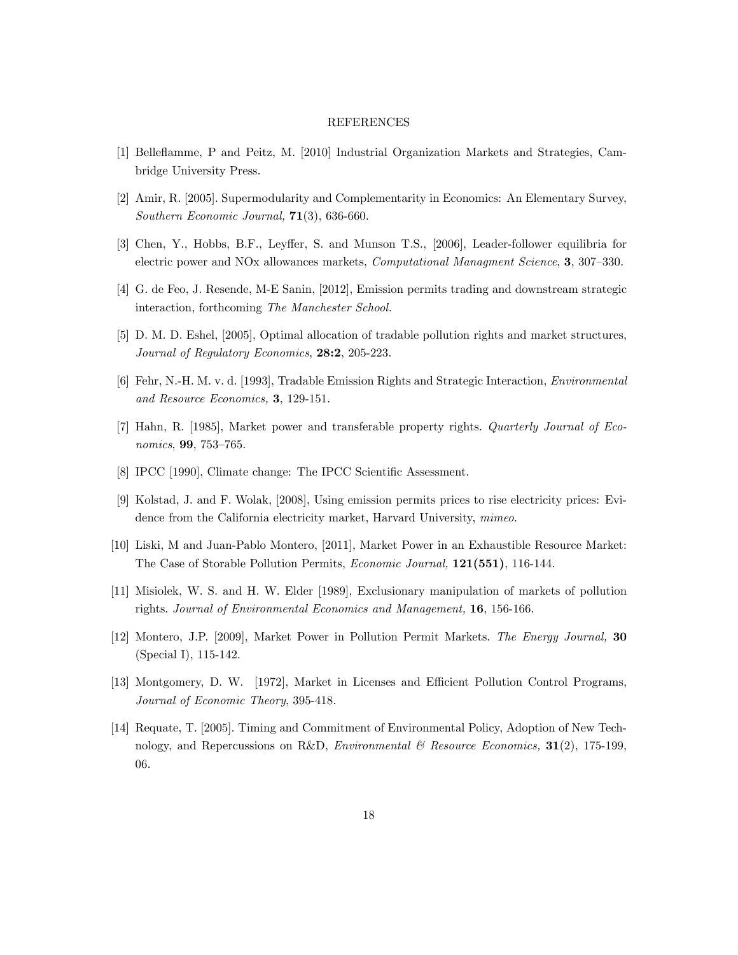#### REFERENCES

- [1] Belleáamme, P and Peitz, M. [2010] Industrial Organization Markets and Strategies, Cambridge University Press.
- [2] Amir, R. [2005]. Supermodularity and Complementarity in Economics: An Elementary Survey, Southern Economic Journal, 71(3), 636-660.
- [3] Chen, Y., Hobbs, B.F., Leyffer, S. and Munson T.S., [2006], Leader-follower equilibria for electric power and NOx allowances markets, *Computational Managment Science*, 3, 307–330.
- [4] G. de Feo, J. Resende, M-E Sanin, [2012], Emission permits trading and downstream strategic interaction, forthcoming The Manchester School.
- [5] D. M. D. Eshel, [2005], Optimal allocation of tradable pollution rights and market structures, Journal of Regulatory Economics, 28:2, 205-223.
- [6] Fehr, N.-H. M. v. d. [1993], Tradable Emission Rights and Strategic Interaction, Environmental and Resource Economics, 3, 129-151.
- [7] Hahn, R. [1985], Market power and transferable property rights. Quarterly Journal of Eco $nonics, 99, 753–765.$
- [8] IPCC [1990], Climate change: The IPCC Scientific Assessment.
- [9] Kolstad, J. and F. Wolak, [2008], Using emission permits prices to rise electricity prices: Evidence from the California electricity market, Harvard University, mimeo.
- [10] Liski, M and Juan-Pablo Montero, [2011], Market Power in an Exhaustible Resource Market: The Case of Storable Pollution Permits, Economic Journal, 121(551), 116-144.
- [11] Misiolek, W. S. and H. W. Elder [1989], Exclusionary manipulation of markets of pollution rights. Journal of Environmental Economics and Management, 16, 156-166.
- [12] Montero, J.P. [2009], Market Power in Pollution Permit Markets. The Energy Journal, 30 (Special I), 115-142.
- [13] Montgomery, D. W. [1972], Market in Licenses and Efficient Pollution Control Programs, Journal of Economic Theory, 395-418.
- [14] Requate, T. [2005]. Timing and Commitment of Environmental Policy, Adoption of New Technology, and Repercussions on R&D, Environmental & Resource Economics,  $31(2)$ , 175-199, 06.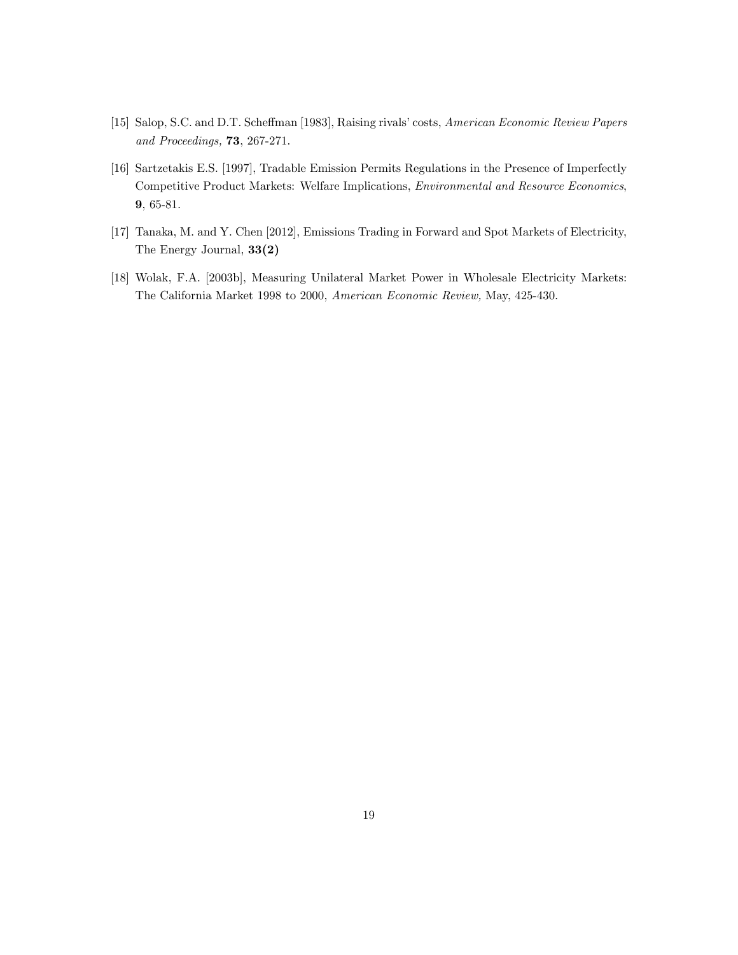- [15] Salop, S.C. and D.T. Scheffman [1983], Raising rivals' costs, American Economic Review Papers and Proceedings, 73, 267-271.
- [16] Sartzetakis E.S. [1997], Tradable Emission Permits Regulations in the Presence of Imperfectly Competitive Product Markets: Welfare Implications, Environmental and Resource Economics, 9, 65-81.
- [17] Tanaka, M. and Y. Chen [2012], Emissions Trading in Forward and Spot Markets of Electricity, The Energy Journal, 33(2)
- [18] Wolak, F.A. [2003b], Measuring Unilateral Market Power in Wholesale Electricity Markets: The California Market 1998 to 2000, American Economic Review, May, 425-430.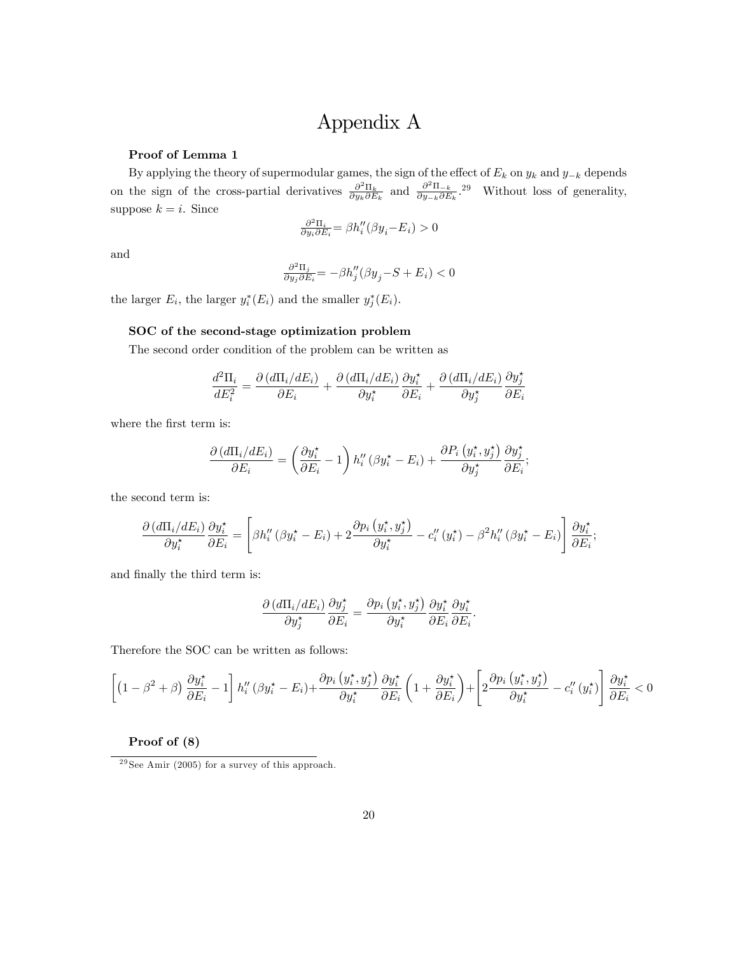# Appendix A

### Proof of Lemma 1

By applying the theory of supermodular games, the sign of the effect of  $E_k$  on  $y_k$  and  $y_{-k}$  depends on the sign of the cross-partial derivatives  $\frac{\partial^2 \Pi_k}{\partial y_k \partial E_k}$  and  $\frac{\partial^2 \Pi_{-k}}{\partial y_{-k} \partial E}$  $\frac{\partial^2 \Pi_{-k}}{\partial y_{-k} \partial E_k}$ <sup>29</sup> Without loss of generality, suppose  $k = i$ . Since

$$
\frac{\partial^2 \Pi_i}{\partial y_i \partial E_i} = \beta h_i''(\beta y_i - E_i) > 0
$$

and

$$
\frac{\partial^2 \Pi_j}{\partial y_j \partial E_i} = -\beta h''_j(\beta y_j - S + E_i) < 0
$$

the larger  $E_i$ , the larger  $y_i^*(E_i)$  and the smaller  $y_j^*(E_i)$ .

# SOC of the second-stage optimization problem

The second order condition of the problem can be written as

$$
\frac{d^2\Pi_i}{dE_i^2} = \frac{\partial \left(d\Pi_i/dE_i\right)}{\partial E_i} + \frac{\partial \left(d\Pi_i/dE_i\right)}{\partial y_i^{\star}} \frac{\partial y_i^{\star}}{\partial E_i} + \frac{\partial \left(d\Pi_i/dE_i\right)}{\partial y_j^{\star}} \frac{\partial y_j^{\star}}{\partial E_i}
$$

where the first term is:

$$
\frac{\partial \left(d\Pi_i/dE_i\right)}{\partial E_i} = \left(\frac{\partial y_i^{\star}}{\partial E_i} - 1\right) h_i'' \left(\beta y_i^{\star} - E_i\right) + \frac{\partial P_i\left(y_i^{\star}, y_j^{\star}\right)}{\partial y_j^{\star}} \frac{\partial y_j^{\star}}{\partial E_i};
$$

the second term is:

$$
\frac{\partial \left(d\Pi_{i}/dE_{i}\right)}{\partial y_{i}^{*}}\frac{\partial y_{i}^{*}}{\partial E_{i}}=\left[\beta h_{i}^{\prime\prime}\left(\beta y_{i}^{*}-E_{i}\right)+2\frac{\partial p_{i}\left(y_{i}^{*},y_{j}^{*}\right)}{\partial y_{i}^{*}}-c_{i}^{\prime\prime}\left(y_{i}^{*}\right)-\beta^{2}h_{i}^{\prime\prime}\left(\beta y_{i}^{*}-E_{i}\right)\right]\frac{\partial y_{i}^{*}}{\partial E_{i}};
$$

and finally the third term is:

$$
\frac{\partial \left(d \Pi_{i}/d E_{i}\right)}{\partial y_{j}^{\star}} \frac{\partial y_{j}^{\star}}{\partial E_{i}} = \frac{\partial p_{i}\left(y_{i}^{\star}, y_{j}^{\star}\right)}{\partial y_{i}^{\star}} \frac{\partial y_{i}^{\star}}{\partial E_{i}} \frac{\partial y_{i}^{\star}}{\partial E_{i}}
$$

:

Therefore the SOC can be written as follows:

$$
\left[\left(1-\beta^2+\beta\right)\frac{\partial y_i^\star}{\partial E_i}-1\right]h_i''\left(\beta y_i^\star - E_i\right) + \frac{\partial p_i\left(y_i^\star, y_j^\star\right)}{\partial y_i^\star} \frac{\partial y_i^\star}{\partial E_i}\left(1+\frac{\partial y_i^\star}{\partial E_i}\right) + \left[2\frac{\partial p_i\left(y_i^\star, y_j^\star\right)}{\partial y_i^\star} - c_i''\left(y_i^\star\right)\right] \frac{\partial y_i^\star}{\partial E_i} < 0
$$

Proof of (8)

<sup>&</sup>lt;sup>29</sup> See Amir (2005) for a survey of this approach.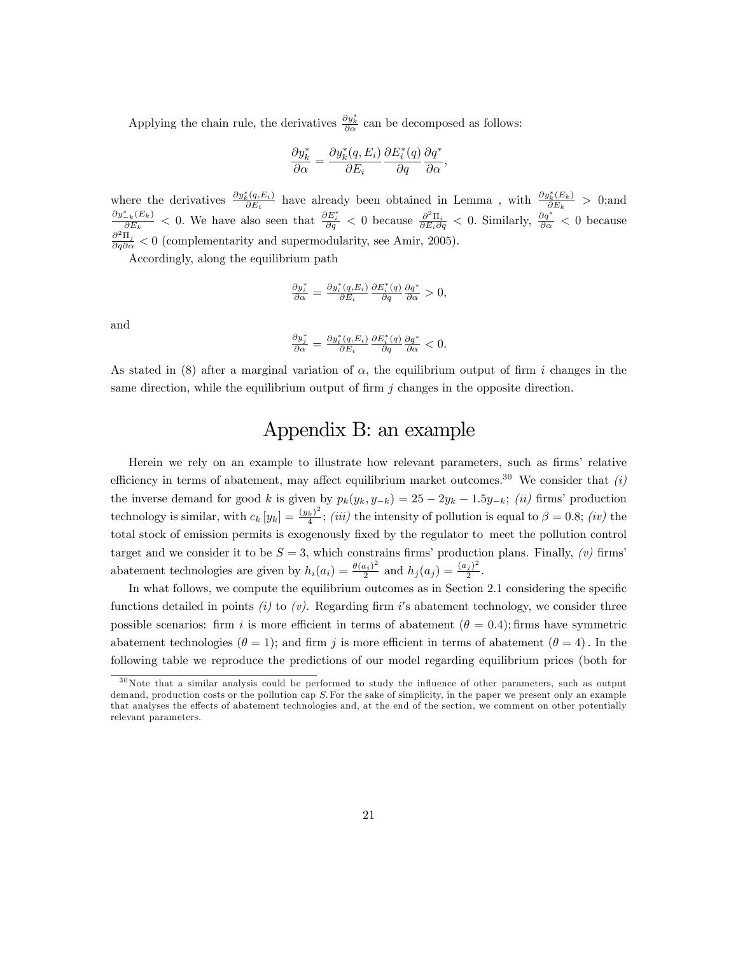Applying the chain rule, the derivatives  $\frac{\partial y_k^*}{\partial \alpha}$  can be decomposed as follows:

$$
\frac{\partial y_k^*}{\partial \alpha} = \frac{\partial y_k^*(q, E_i)}{\partial E_i} \frac{\partial E_i^*(q)}{\partial q} \frac{\partial q^*}{\partial \alpha},
$$

where the derivatives  $\frac{\partial y_k^*(q, E_i)}{\partial E}$  $\frac{\partial f_k}{\partial E_i}$  have already been obtained in Lemma, with  $\frac{\partial y_k^*(E_k)}{\partial E_k}$  $\frac{\partial k(E_k)}{\partial E_k} > 0;$  and  $\partial y^*_{-k}(E_k)$  $\frac{e^k E(E_k)}{\partial E_k} < 0$ . We have also seen that  $\frac{\partial E_i^*}{\partial q} < 0$  because  $\frac{\partial^2 \Pi_i}{\partial E_i \partial q} < 0$ . Similarly,  $\frac{\partial q^*}{\partial \alpha} < 0$  because  $\frac{\partial^2 \Pi_j}{\partial q \partial \alpha}$  < 0 (complementarity and supermodularity, see Amir, 2005).

Accordingly, along the equilibrium path

$$
\frac{\partial y_i^*}{\partial \alpha} = \frac{\partial y_i^*(q, E_i)}{\partial E_i} \frac{\partial E_i^*(q)}{\partial q} \frac{\partial q^*}{\partial \alpha} > 0,
$$

and

$$
\frac{\partial y_j^*}{\partial \alpha} = \frac{\partial y_i^*(q, E_i)}{\partial E_i} \frac{\partial E_i^*(q)}{\partial q} \frac{\partial q^*}{\partial \alpha} < 0.
$$

As stated in  $(8)$  after a marginal variation of  $\alpha$ , the equilibrium output of firm i changes in the same direction, while the equilibrium output of firm  $j$  changes in the opposite direction.

# Appendix B: an example

Herein we rely on an example to illustrate how relevant parameters, such as firms' relative efficiency in terms of abatement, may affect equilibrium market outcomes.<sup>30</sup> We consider that (i) the inverse demand for good k is given by  $p_k(y_k, y_{-k}) = 25 - 2y_k - 1.5y_{-k}$ ; *(ii)* firms' production technology is similar, with  $c_k [y_k] = \frac{(y_k)^2}{4}$  $\frac{1}{4}$ ; (iii) the intensity of pollution is equal to  $\beta = 0.8$ ; (iv) the total stock of emission permits is exogenously fixed by the regulator to meet the pollution control target and we consider it to be  $S = 3$ , which constrains firms' production plans. Finally, (v) firms' abatement technologies are given by  $h_i(a_i) = \frac{\theta(a_i)^2}{2}$  $\frac{(a_i)^2}{2}$  and  $h_j(a_j) = \frac{(a_j)^2}{2}$  $\frac{j}{2}$ .

In what follows, we compute the equilibrium outcomes as in Section 2.1 considering the specific functions detailed in points (i) to (v). Regarding firm i's abatement technology, we consider three possible scenarios: firm i is more efficient in terms of abatement ( $\theta = 0.4$ ); firms have symmetric abatement technologies ( $\theta = 1$ ); and firm j is more efficient in terms of abatement ( $\theta = 4$ ). In the following table we reproduce the predictions of our model regarding equilibrium prices (both for

 $30$ Note that a similar analysis could be performed to study the influence of other parameters, such as output demand, production costs or the pollution cap S. For the sake of simplicity, in the paper we present only an example that analyses the effects of abatement technologies and, at the end of the section, we comment on other potentially relevant parameters.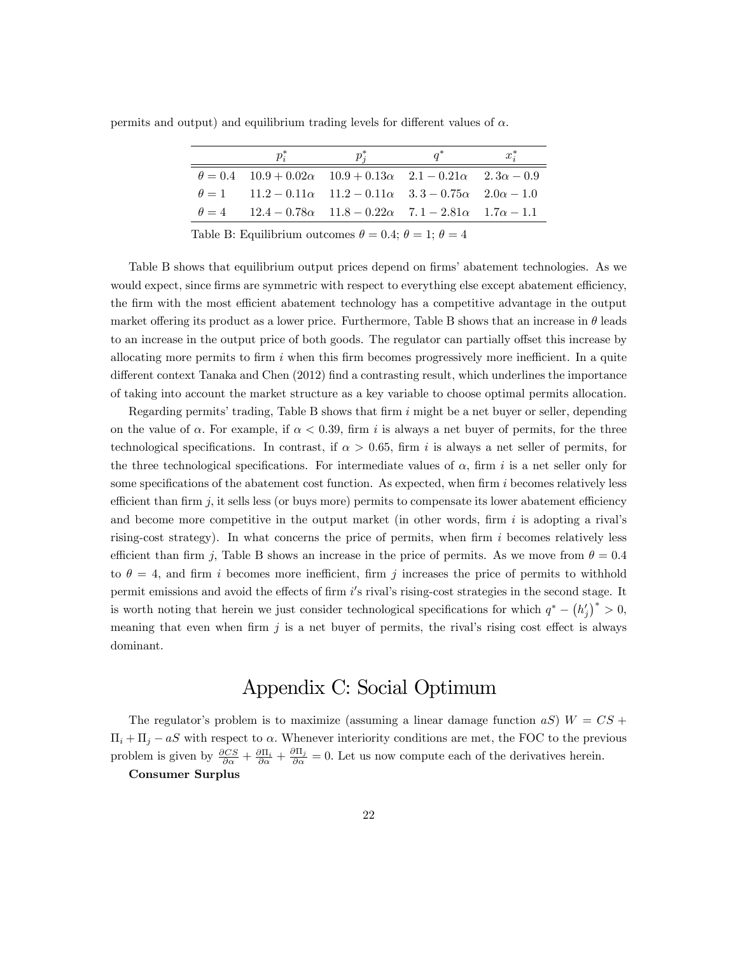| $p_i^*$                                                                                       | $p_i^*$ | $x^*$ |
|-----------------------------------------------------------------------------------------------|---------|-------|
| $\theta = 0.4$ $10.9 + 0.02\alpha$ $10.9 + 0.13\alpha$ $2.1 - 0.21\alpha$ $2.3\alpha - 0.9$   |         |       |
| $\theta = 1$ 11.2 - 0.11 $\alpha$ 11.2 - 0.11 $\alpha$ 3.3 - 0.75 $\alpha$ 2.0 $\alpha$ - 1.0 |         |       |
| $\theta = 4$ 12.4 - 0.78 $\alpha$ 11.8 - 0.22 $\alpha$ 7.1 - 2.81 $\alpha$ 1.7 $\alpha$ - 1.1 |         |       |

permits and output) and equilibrium trading levels for different values of  $\alpha$ .

Table B: Equilibrium outcomes  $\theta = 0.4$ ;  $\theta = 1$ ;  $\theta = 4$ 

Table B shows that equilibrium output prices depend on firms' abatement technologies. As we would expect, since firms are symmetric with respect to everything else except abatement efficiency, the firm with the most efficient abatement technology has a competitive advantage in the output market offering its product as a lower price. Furthermore, Table B shows that an increase in  $\theta$  leads to an increase in the output price of both goods. The regulator can partially offset this increase by allocating more permits to firm  $i$  when this firm becomes progressively more inefficient. In a quite different context Tanaka and Chen (2012) find a contrasting result, which underlines the importance of taking into account the market structure as a key variable to choose optimal permits allocation.

Regarding permits' trading, Table B shows that firm  $i$  might be a net buyer or seller, depending on the value of  $\alpha$ . For example, if  $\alpha < 0.39$ , firm i is always a net buyer of permits, for the three technological specifications. In contrast, if  $\alpha > 0.65$ , firm i is always a net seller of permits, for the three technological specifications. For intermediate values of  $\alpha$ , firm i is a net seller only for some specifications of the abatement cost function. As expected, when firm  $i$  becomes relatively less efficient than firm j, it sells less (or buys more) permits to compensate its lower abatement efficiency and become more competitive in the output market (in other words, firm  $i$  is adopting a rival's rising-cost strategy). In what concerns the price of permits, when firm  $i$  becomes relatively less efficient than firm j, Table B shows an increase in the price of permits. As we move from  $\theta = 0.4$ to  $\theta = 4$ , and firm i becomes more inefficient, firm j increases the price of permits to withhold permit emissions and avoid the effects of firm i's rival's rising-cost strategies in the second stage. It is worth noting that herein we just consider technological specifications for which  $q^* - (h'_j)^* > 0$ , meaning that even when firm  $j$  is a net buyer of permits, the rival's rising cost effect is always dominant.

# Appendix C: Social Optimum

The regulator's problem is to maximize (assuming a linear damage function aS)  $W = CS +$  $\prod_i + \prod_j -aS$  with respect to  $\alpha$ . Whenever interiority conditions are met, the FOC to the previous problem is given by  $\frac{\partial CS}{\partial \alpha} + \frac{\partial \Pi_i}{\partial \alpha} + \frac{\partial \Pi_j}{\partial \alpha} = 0$ . Let us now compute each of the derivatives herein.

Consumer Surplus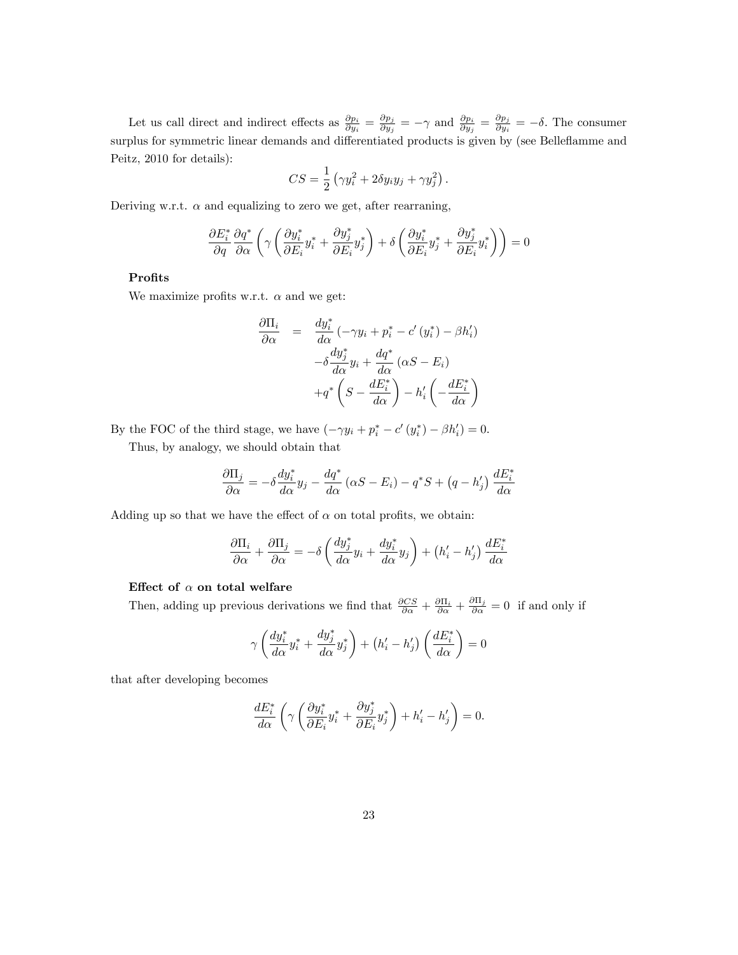Let us call direct and indirect effects as  $\frac{\partial p_i}{\partial y_i} = \frac{\partial p_j}{\partial y_j}$  $\frac{\partial p_j}{\partial y_j} = -\gamma$  and  $\frac{\partial p_i}{\partial y_j} = \frac{\partial p_j}{\partial y_i}$  $\frac{\partial p_j}{\partial y_i} = -\delta$ . The consumer surplus for symmetric linear demands and differentiated products is given by (see Belleflamme and Peitz, 2010 for details):

$$
CS = \frac{1}{2} \left( \gamma y_i^2 + 2 \delta y_i y_j + \gamma y_j^2 \right).
$$

Deriving w.r.t.  $\alpha$  and equalizing to zero we get, after rearraning,

$$
\frac{\partial E_i^*}{\partial q} \frac{\partial q^*}{\partial \alpha} \left( \gamma \left( \frac{\partial y_i^*}{\partial E_i} y_i^* + \frac{\partial y_j^*}{\partial E_i} y_j^* \right) + \delta \left( \frac{\partial y_i^*}{\partial E_i} y_j^* + \frac{\partial y_j^*}{\partial E_i} y_i^* \right) \right) = 0
$$

# Profits

We maximize profits w.r.t.  $\alpha$  and we get:

$$
\frac{\partial \Pi_i}{\partial \alpha} = \frac{dy_i^*}{d\alpha} \left( -\gamma y_i + p_i^* - c' (y_i^*) - \beta h_i' \right)
$$

$$
- \delta \frac{dy_j^*}{d\alpha} y_i + \frac{dq^*}{d\alpha} (\alpha S - E_i)
$$

$$
+ q^* \left( S - \frac{dE_i^*}{d\alpha} \right) - h_i' \left( -\frac{dE_i^*}{d\alpha} \right)
$$

By the FOC of the third stage, we have  $(-\gamma y_i + p_i^* - c'(y_i^*) - \beta h'_i) = 0$ .

Thus, by analogy, we should obtain that

$$
\frac{\partial \Pi_j}{\partial \alpha} = -\delta \frac{dy_i^*}{d\alpha} y_j - \frac{dq^*}{d\alpha} (\alpha S - E_i) - q^* S + (q - h'_j) \frac{dE_i^*}{d\alpha}
$$

Adding up so that we have the effect of  $\alpha$  on total profits, we obtain:

$$
\frac{\partial \Pi_i}{\partial \alpha} + \frac{\partial \Pi_j}{\partial \alpha} = -\delta \left( \frac{dy_j^*}{d \alpha} y_i + \frac{dy_i^*}{d \alpha} y_j \right) + \left( h_i' - h_j' \right) \frac{dE_i^*}{d \alpha}
$$

#### Effect of  $\alpha$  on total welfare

Then, adding up previous derivations we find that  $\frac{\partial CS}{\partial \alpha} + \frac{\partial \Pi_i}{\partial \alpha} + \frac{\partial \Pi_j}{\partial \alpha} = 0$  if and only if

$$
\gamma \left( \frac{dy_i^*}{d\alpha} y_i^* + \frac{dy_j^*}{d\alpha} y_j^* \right) + \left( h_i' - h_j' \right) \left( \frac{dE_i^*}{d\alpha} \right) = 0
$$

that after developing becomes

$$
\frac{dE_i^*}{d\alpha} \left( \gamma \left( \frac{\partial y_i^*}{\partial E_i} y_i^* + \frac{\partial y_j^*}{\partial E_i} y_j^* \right) + h'_i - h'_j \right) = 0.
$$